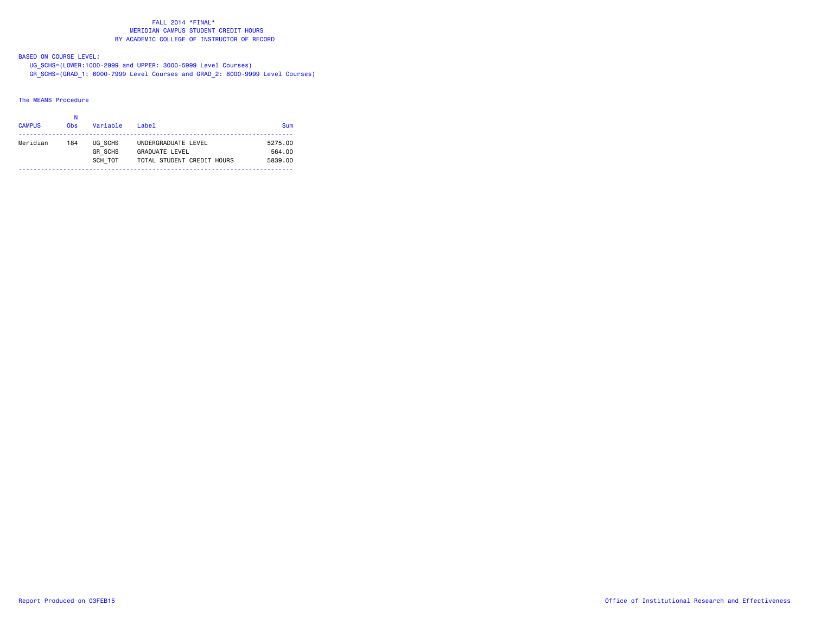#### FALL 2014 \*FINAL\* MERIDIAN CAMPUS STUDENT CREDIT HOURSBY ACADEMIC COLLEGE OF INSTRUCTOR OF RECORD

BASED ON COURSE LEVEL:

 UG\_SCHS=(LOWER:1000-2999 and UPPER: 3000-5999 Level Courses) GR\_SCHS=(GRAD\_1: 6000-7999 Level Courses and GRAD\_2: 8000-9999 Level Courses)

### The MEANS Procedure

| <b>CAMPUS</b> | Ν<br>0 <sub>bs</sub> | Variable       | $I$ ahe $I$                | Sum     |
|---------------|----------------------|----------------|----------------------------|---------|
|               |                      |                |                            |         |
| Meridian      | 184                  | UG SCHS        | UNDERGRADUATE LEVEL        | 5275.00 |
|               |                      | <b>GR SCHS</b> | <b>GRADUATE LEVEL</b>      | 564.00  |
|               |                      | SCH TOT        | TOTAL STUDENT CREDIT HOURS | 5839.00 |
|               |                      |                |                            |         |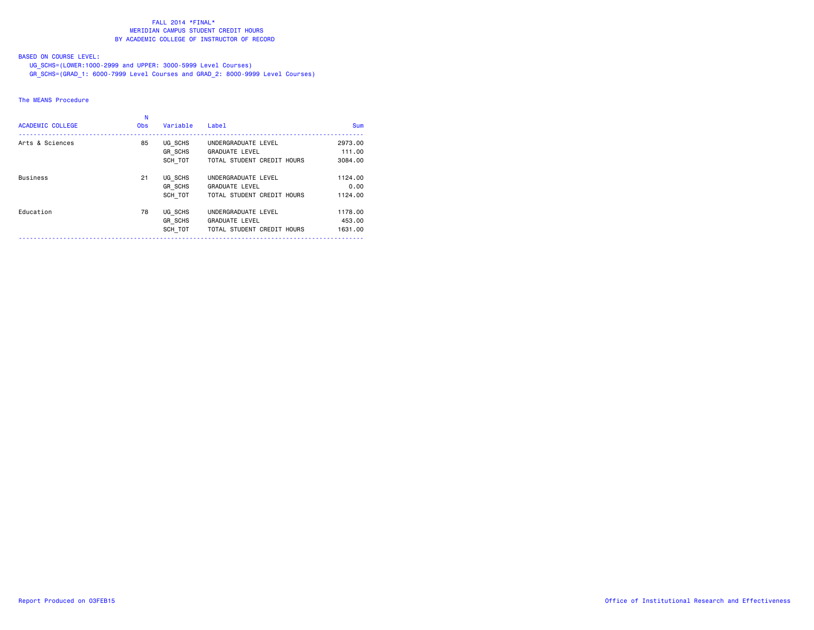#### FALL 2014 \*FINAL\* MERIDIAN CAMPUS STUDENT CREDIT HOURSBY ACADEMIC COLLEGE OF INSTRUCTOR OF RECORD

# BASED ON COURSE LEVEL:

UG\_SCHS=(LOWER:1000-2999 and UPPER: 3000-5999 Level Courses)

GR\_SCHS=(GRAD\_1: 6000-7999 Level Courses and GRAD\_2: 8000-9999 Level Courses)

### The MEANS Procedure

| <b>ACADEMIC COLLEGE</b> | <b>Obs</b> | Variable                  | Label                                               | Sum               |
|-------------------------|------------|---------------------------|-----------------------------------------------------|-------------------|
| Arts & Sciences         | 85         | UG SCHS<br>GR SCHS        | UNDERGRADUATE LEVEL<br><b>GRADUATE LEVEL</b>        | 2973.00<br>111.00 |
|                         |            | SCH TOT                   | TOTAL STUDENT CREDIT HOURS                          | 3084.00           |
| <b>Business</b>         | 21         | UG SCHS                   | UNDERGRADUATE LEVEL                                 | 1124.00           |
|                         |            | <b>GR SCHS</b><br>SCH TOT | <b>GRADUATE LEVEL</b><br>TOTAL STUDENT CREDIT HOURS | 0.00<br>1124.00   |
|                         |            |                           |                                                     |                   |
| Education               | 78         | UG SCHS                   | UNDERGRADUATE LEVEL                                 | 1178.00           |
|                         |            | GR SCHS<br>SCH TOT        | <b>GRADUATE LEVEL</b><br>TOTAL STUDENT CREDIT HOURS | 453.00<br>1631,00 |
|                         |            |                           |                                                     |                   |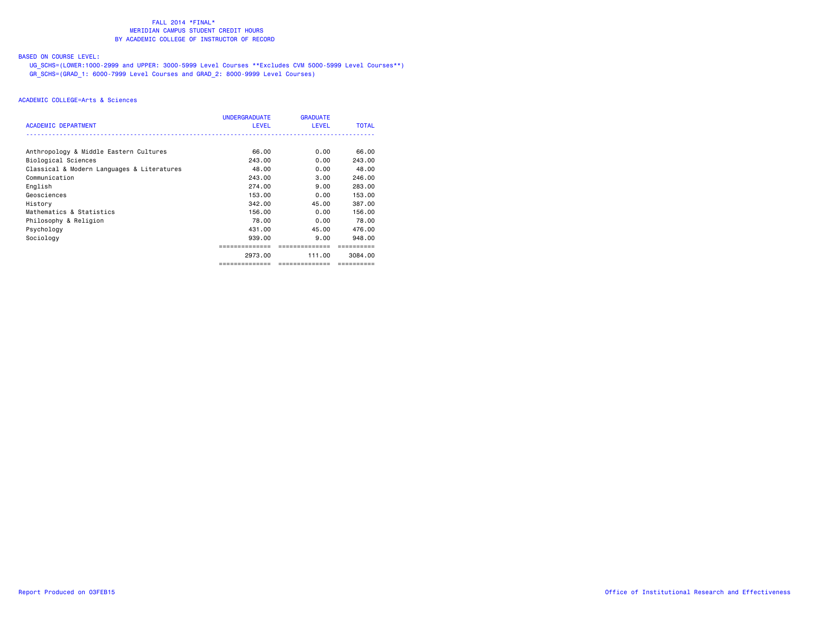### FALL 2014 \*FINAL\***MERIDIAN CAMPUS STUDENT CREDIT HOURS** BY ACADEMIC COLLEGE OF INSTRUCTOR OF RECORD

# BASED ON COURSE LEVEL:

 UG\_SCHS=(LOWER:1000-2999 and UPPER: 3000-5999 Level Courses \*\*Excludes CVM 5000-5999 Level Courses\*\*) GR\_SCHS=(GRAD\_1: 6000-7999 Level Courses and GRAD\_2: 8000-9999 Level Courses)

| <b>ACADEMIC DEPARTMENT</b>                 | <b>UNDERGRADUATE</b><br><b>LEVEL</b> | <b>GRADUATE</b><br>LEVEL | <b>TOTAL</b> |
|--------------------------------------------|--------------------------------------|--------------------------|--------------|
|                                            |                                      |                          |              |
| Anthropology & Middle Eastern Cultures     | 66.00                                | 0.00                     | 66.00        |
| Biological Sciences                        | 243.00                               | 0.00                     | 243.00       |
| Classical & Modern Languages & Literatures | 48.00                                | 0.00                     | 48.00        |
| Communication                              | 243.00                               | 3.00                     | 246.00       |
| English                                    | 274.00                               | 9.00                     | 283.00       |
| Geosciences                                | 153.00                               | 0.00                     | 153.00       |
| History                                    | 342.00                               | 45.00                    | 387.00       |
| Mathematics & Statistics                   | 156.00                               | 0.00                     | 156.00       |
| Philosophy & Religion                      | 78.00                                | 0.00                     | 78.00        |
| Psychology                                 | 431.00                               | 45.00                    | 476.00       |
| Sociology                                  | 939.00                               | 9.00                     | 948,00       |
|                                            |                                      |                          |              |
|                                            | 2973.00                              | 111.00                   | 3084.00      |
|                                            | ==============                       | ==============           | ==========   |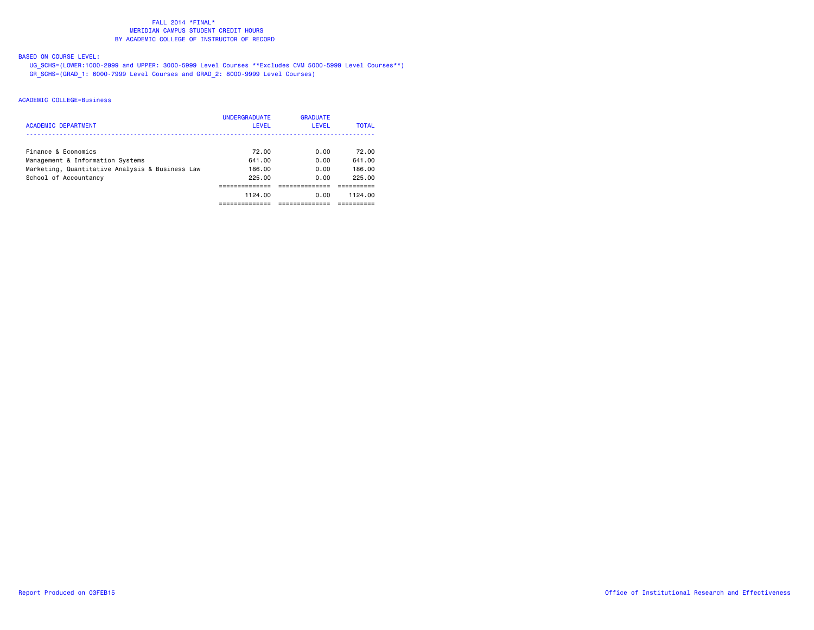### FALL 2014 \*FINAL\***MERIDIAN CAMPUS STUDENT CREDIT HOURS** BY ACADEMIC COLLEGE OF INSTRUCTOR OF RECORD

# BASED ON COURSE LEVEL:

 UG\_SCHS=(LOWER:1000-2999 and UPPER: 3000-5999 Level Courses \*\*Excludes CVM 5000-5999 Level Courses\*\*) GR\_SCHS=(GRAD\_1: 6000-7999 Level Courses and GRAD\_2: 8000-9999 Level Courses)

| ACADEMIC DEPARTMENT                                                                 | <b>UNDERGRADUATE</b><br><b>LEVEL</b> | <b>GRADUATE</b><br>LEVEL | <b>TOTAL</b>     |
|-------------------------------------------------------------------------------------|--------------------------------------|--------------------------|------------------|
| Finance & Economics                                                                 | 72.00                                | 0.00                     | 72.00            |
| Management & Information Systems<br>Marketing, Quantitative Analysis & Business Law | 641.00<br>186.00                     | 0.00<br>0.00             | 641.00<br>186.00 |
| School of Accountancy                                                               | 225.00                               | 0.00                     | 225.00           |
|                                                                                     | 1124.00                              | 0.00                     | 1124.00          |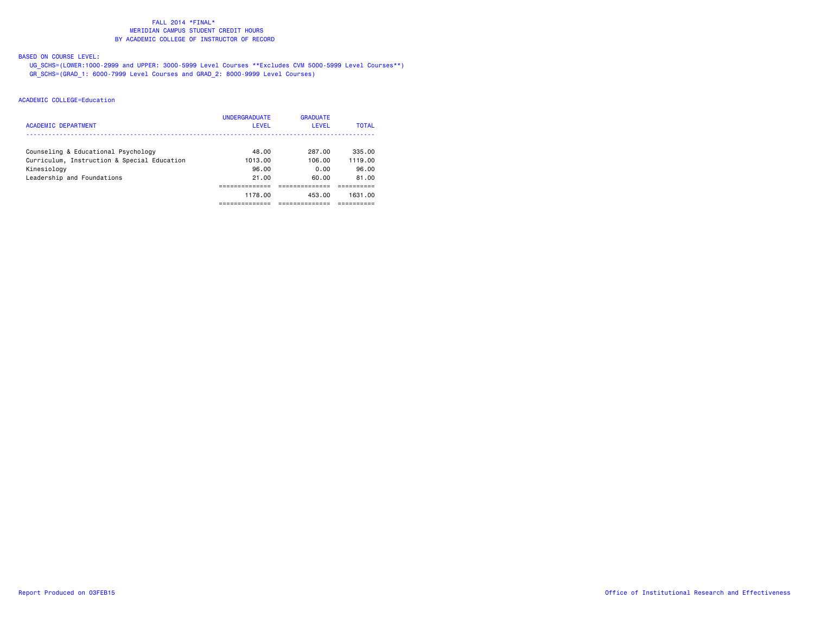### FALL 2014 \*FINAL\***MERIDIAN CAMPUS STUDENT CREDIT HOURS** BY ACADEMIC COLLEGE OF INSTRUCTOR OF RECORD

# BASED ON COURSE LEVEL:

 UG\_SCHS=(LOWER:1000-2999 and UPPER: 3000-5999 Level Courses \*\*Excludes CVM 5000-5999 Level Courses\*\*) GR\_SCHS=(GRAD\_1: 6000-7999 Level Courses and GRAD\_2: 8000-9999 Level Courses)

| <b>ACADEMIC DEPARTMENT</b>                  | <b>UNDERGRADUATE</b><br>LEVEL | <b>GRADUATE</b><br>LEVEL | <b>TOTAL</b> |
|---------------------------------------------|-------------------------------|--------------------------|--------------|
| Counseling & Educational Psychology         | 48.00                         | 287.00                   | 335.00       |
| Curriculum, Instruction & Special Education | 1013.00                       | 106.00                   | 1119.00      |
| Kinesiology                                 | 96.00                         | 0.00                     | 96.00        |
| Leadership and Foundations                  | 21.00                         | 60.00                    | 81.00        |
|                                             |                               |                          |              |
|                                             | 1178.00                       | 453.00                   | 1631.00      |
|                                             |                               |                          |              |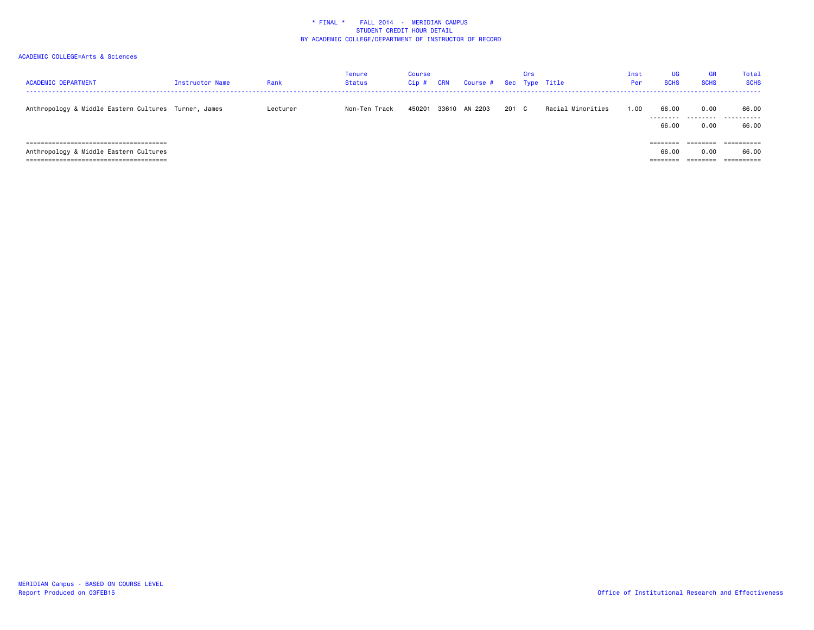| <b>ACADEMIC DEPARTMENT</b>                           | <b>Instructor Name</b> | Rank     | <b>Tenure</b><br><b>Status</b> | Course<br>Cip# | <b>CRN</b> | Course # Sec Type Title |       | Crs |                   | Inst<br>Per | <b>UG</b><br><b>SCHS</b> | <b>GR</b><br><b>SCHS</b> | Total<br><b>SCHS</b>  |
|------------------------------------------------------|------------------------|----------|--------------------------------|----------------|------------|-------------------------|-------|-----|-------------------|-------------|--------------------------|--------------------------|-----------------------|
| Anthropology & Middle Eastern Cultures Turner, James |                        | Lecturer | Non-Ten Track                  | 450201         |            | 33610 AN 2203           | 201 C |     | Racial Minorities | 1.00        | 66.00<br>.               | 0.00                     | 66.00<br>.            |
|                                                      |                        |          |                                |                |            |                         |       |     |                   |             | 66.00                    | 0.00                     | 66.00                 |
|                                                      |                        |          |                                |                |            |                         |       |     |                   |             | ========                 | ========                 | ==========            |
| Anthropology & Middle Eastern Cultures               |                        |          |                                |                |            |                         |       |     |                   |             | 66.00                    | 0.00                     | 66.00                 |
| ===================================                  |                        |          |                                |                |            |                         |       |     |                   |             |                          |                          | $=$ = = = = = = = = = |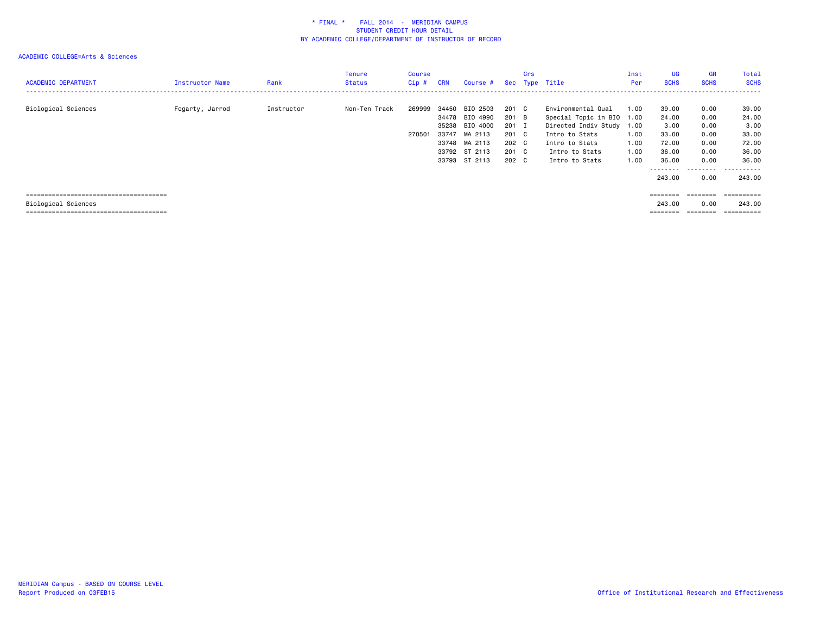| <b>ACADEMIC DEPARTMENT</b> | Instructor Name | Rank       | Tenure<br><b>Status</b> | <b>Course</b><br>$Cip$ # | <b>CRN</b> | Course #                         |                | Crs | Sec Type Title                                  | Inst<br>Per | <b>UG</b><br><b>SCHS</b> | <b>GR</b><br><b>SCHS</b> | Total<br><b>SCHS</b> |
|----------------------------|-----------------|------------|-------------------------|--------------------------|------------|----------------------------------|----------------|-----|-------------------------------------------------|-------------|--------------------------|--------------------------|----------------------|
| Biological Sciences        | Fogarty, Jarrod | Instructor | Non-Ten Track           | 269999                   |            | 34450 BIO 2503<br>34478 BIO 4990 | 201 C<br>201 B |     | Environmental Qual<br>Special Topic in BIO 1.00 | 1.00        | 39.00<br>24.00           | 0.00<br>0.00             | 39.00<br>24.00       |
|                            |                 |            |                         |                          | 35238      | BIO 4000                         | 201 I          |     | Directed Indiv Study 1.00                       |             | 3.00                     | 0.00                     | 3.00                 |
|                            |                 |            |                         | 270501                   | 33747      | MA 2113                          | 201 C          |     | Intro to Stats                                  | 1.00        | 33.00                    | 0.00                     | 33.00                |
|                            |                 |            |                         |                          |            | 33748 MA 2113                    | 202 C          |     | Intro to Stats                                  | 1.00        | 72.00                    | 0.00                     | 72.00                |
|                            |                 |            |                         |                          |            | 33792 ST 2113                    | 201 C          |     | Intro to Stats                                  | 1.00        | 36.00                    | 0.00                     | 36.00                |
|                            |                 |            |                         |                          |            | 33793 ST 2113                    | 202 C          |     | Intro to Stats                                  | 1.00        | 36.00                    | 0.00                     | 36.00                |
|                            |                 |            |                         |                          |            |                                  |                |     |                                                 |             |                          | -----                    | - - - - - -          |
|                            |                 |            |                         |                          |            |                                  |                |     |                                                 |             | 243,00                   | 0.00                     | 243,00               |
|                            |                 |            |                         |                          |            |                                  |                |     |                                                 |             |                          |                          |                      |
|                            |                 |            |                         |                          |            |                                  |                |     |                                                 |             | ========                 | ========                 | ==========           |
| Biological Sciences        |                 |            |                         |                          |            |                                  |                |     |                                                 |             | 243,00                   | 0.00                     | 243,00               |
|                            |                 |            |                         |                          |            |                                  |                |     |                                                 |             |                          | ========                 | ==========           |
|                            |                 |            |                         |                          |            |                                  |                |     |                                                 |             |                          |                          |                      |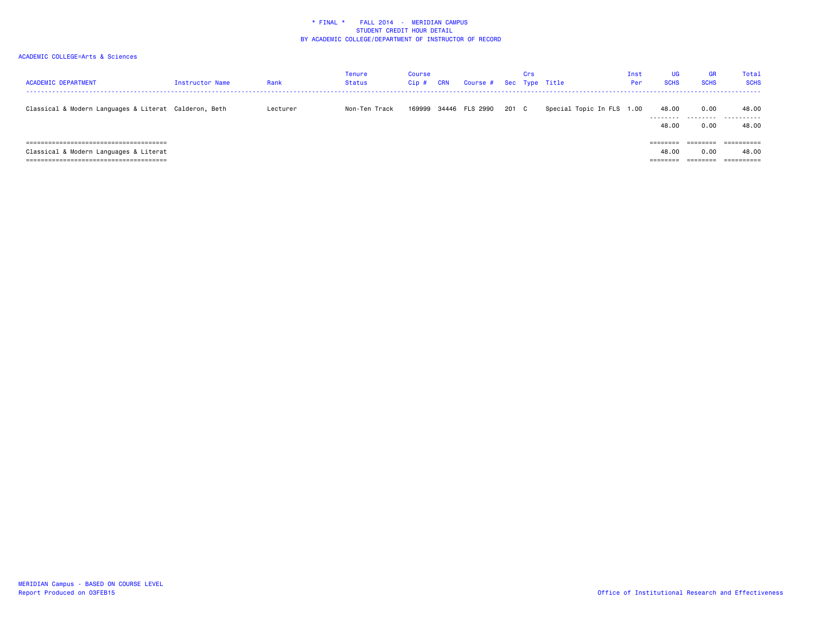| <b>ACADEMIC DEPARTMENT</b>                            | <b>Instructor Name</b> | Rank     | Tenure<br>Status | Course<br>$Cip$ # | <b>CRN</b> | Course # |       | Crs | Sec Type Title            | Inst<br>Per | <b>UG</b><br><b>SCHS</b>      | <b>GR</b><br><b>SCHS</b>              | <b>Total</b><br><b>SCHS</b> |
|-------------------------------------------------------|------------------------|----------|------------------|-------------------|------------|----------|-------|-----|---------------------------|-------------|-------------------------------|---------------------------------------|-----------------------------|
| Classical & Modern Languages & Literat Calderon, Beth |                        | Lecturer | Non-Ten Track    | 169999            | 34446      | FLS 2990 | 201 C |     | Special Topic In FLS 1.00 |             | 48.00<br>---------<br>48.00   | 0.00<br>---------<br>0.00             | 48.00<br>.<br>48.00         |
| Classical & Modern Languages & Literat                |                        |          |                  |                   |            |          |       |     |                           |             | ========<br>48.00<br>======== | $=$ = = = = = = =<br>0.00<br>======== | 48.00                       |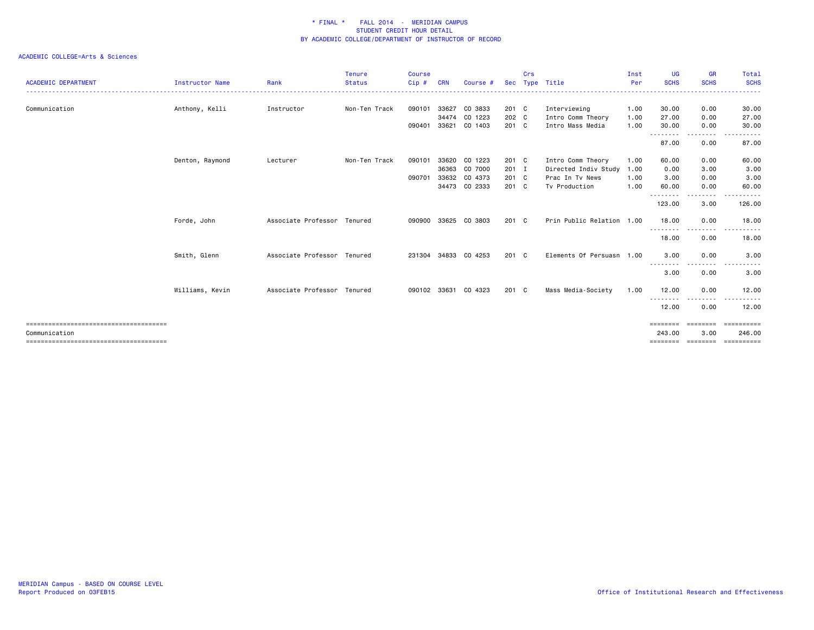|                            |                        |                             | <b>Tenure</b> | <b>Course</b> |            |                      |               | Crs |                           | Inst | <b>UG</b>          | <b>GR</b>        | Total                  |
|----------------------------|------------------------|-----------------------------|---------------|---------------|------------|----------------------|---------------|-----|---------------------------|------|--------------------|------------------|------------------------|
| <b>ACADEMIC DEPARTMENT</b> | <b>Instructor Name</b> | Rank                        | <b>Status</b> | Cip#          | <b>CRN</b> | Course #             | <b>Sec</b>    |     | Type Title                | Per  | <b>SCHS</b>        | <b>SCHS</b>      | <b>SCHS</b>            |
| Communication              | Anthony, Kelli         | Instructor                  | Non-Ten Track | 090101        | 33627      | CO 3833              | 201 C         |     | Interviewing              | 1.00 | 30.00              | 0.00             | 30.00                  |
|                            |                        |                             |               |               | 34474      | CO 1223              | 202 C         |     | Intro Comm Theory         | 1.00 | 27.00              | 0.00             | 27.00                  |
|                            |                        |                             |               | 090401        | 33621      | CO 1403              | 201 C         |     | Intro Mass Media          | 1.00 | 30.00              | 0.00             | 30.00                  |
|                            |                        |                             |               |               |            |                      |               |     |                           |      | ---------<br>87.00 | .<br>0.00        | 87.00                  |
|                            | Denton, Raymond        | Lecturer                    | Non-Ten Track | 090101        | 33620      | CO 1223              | 201 C         |     | Intro Comm Theory         | 1.00 | 60.00              | 0.00             | 60.00                  |
|                            |                        |                             |               |               | 36363      | CO 7000              | 201 I         |     | Directed Indiv Study 1.00 |      | 0.00               | 3.00             | 3.00                   |
|                            |                        |                             |               | 090701        | 33632      | CO 4373              | 201 C         |     | Prac In Tv News           | 1.00 | 3.00               | 0.00             | 3.00                   |
|                            |                        |                             |               |               |            | 34473 CO 2333        | 201 C         |     | Tv Production             | 1.00 | 60.00<br>--------- | 0.00<br>-----    | 60.00                  |
|                            |                        |                             |               |               |            |                      |               |     |                           |      | 123,00             | 3.00             | 126.00                 |
|                            | Forde, John            | Associate Professor Tenured |               |               |            | 090900 33625 CO 3803 | $201 \quad C$ |     | Prin Public Relation 1.00 |      | 18.00              | 0.00             | 18.00<br>.             |
|                            |                        |                             |               |               |            |                      |               |     |                           |      | ---------<br>18.00 | -----<br>0.00    | $- - -$<br>18.00       |
|                            | Smith, Glenn           | Associate Professor Tenured |               |               |            | 231304 34833 CO 4253 | $201 \quad C$ |     | Elements Of Persuasn 1.00 |      | 3.00               | 0.00             | 3.00                   |
|                            |                        |                             |               |               |            |                      |               |     |                           |      | ---------<br>3.00  | .<br>0.00        | 3.00                   |
|                            | Williams, Kevin        | Associate Professor Tenured |               |               |            | 090102 33631 CO 4323 | $201 \quad C$ |     | Mass Media-Society        | 1.00 | 12.00              | 0.00             | 12.00                  |
|                            |                        |                             |               |               |            |                      |               |     |                           |      | ---------<br>12.00 | --------<br>0.00 | $\frac{1}{2}$<br>12.00 |
|                            |                        |                             |               |               |            |                      |               |     |                           |      | ========           | ========         | ==========             |
| Communication              |                        |                             |               |               |            |                      |               |     |                           |      | 243.00             | 3.00             | 246.00                 |
|                            |                        |                             |               |               |            |                      |               |     |                           |      | ========           | ========         | ==========             |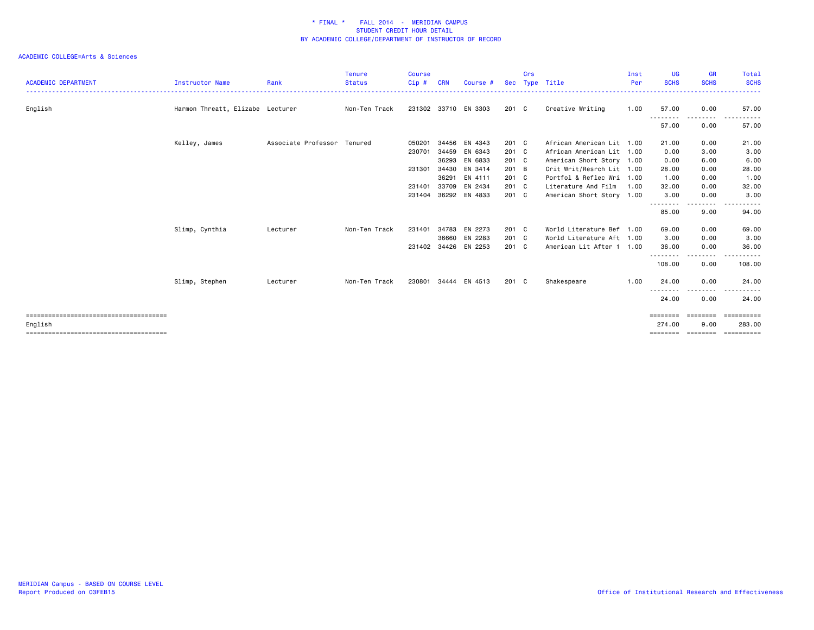| <b>ACADEMIC DEPARTMENT</b> | Instructor Name                  | Rank                        | Tenure<br><b>Status</b> | <b>Course</b><br>Cip# | <b>CRN</b> | Course #             | <b>Sec</b> | Crs | Type Title                | Inst<br>Per | <b>UG</b><br><b>SCHS</b> | <b>GR</b><br><b>SCHS</b>                                                                                                                                                | Total<br><b>SCHS</b> |
|----------------------------|----------------------------------|-----------------------------|-------------------------|-----------------------|------------|----------------------|------------|-----|---------------------------|-------------|--------------------------|-------------------------------------------------------------------------------------------------------------------------------------------------------------------------|----------------------|
| English                    | Harmon Threatt, Elizabe Lecturer |                             | Non-Ten Track           |                       |            | 231302 33710 EN 3303 | 201 C      |     | Creative Writing          | 1.00        | 57.00                    | 0.00                                                                                                                                                                    | 57.00                |
|                            |                                  |                             |                         |                       |            |                      |            |     |                           |             | --------<br>57.00        | $- - -$<br>$\frac{1}{2} \left( \frac{1}{2} \right) \left( \frac{1}{2} \right) \left( \frac{1}{2} \right) \left( \frac{1}{2} \right) \left( \frac{1}{2} \right)$<br>0.00 | 57.00                |
|                            | Kelley, James                    | Associate Professor Tenured |                         | 050201                |            | 34456 EN 4343        | 201 C      |     | African American Lit 1.00 |             | 21.00                    | 0.00                                                                                                                                                                    | 21.00                |
|                            |                                  |                             |                         | 230701                | 34459      | EN 6343              | 201 C      |     | African American Lit 1.00 |             | 0.00                     | 3.00                                                                                                                                                                    | 3.00                 |
|                            |                                  |                             |                         |                       | 36293      | EN 6833              | 201 C      |     | American Short Story 1.00 |             | 0.00                     | 6.00                                                                                                                                                                    | 6.00                 |
|                            |                                  |                             |                         | 231301                | 34430      | EN 3414              | 201 B      |     | Crit Writ/Resrch Lit 1.00 |             | 28.00                    | 0.00                                                                                                                                                                    | 28.00                |
|                            |                                  |                             |                         |                       | 36291      | EN 4111              | 201 C      |     | Portfol & Reflec Wri 1.00 |             | 1.00                     | 0.00                                                                                                                                                                    | 1.00                 |
|                            |                                  |                             |                         | 231401                | 33709      | EN 2434              | 201 C      |     | Literature And Film       | 1.00        | 32.00                    | 0.00                                                                                                                                                                    | 32.00                |
|                            |                                  |                             |                         |                       |            | 231404 36292 EN 4833 | 201 C      |     | American Short Story 1.00 |             | 3.00                     | 0.00                                                                                                                                                                    | 3.00                 |
|                            |                                  |                             |                         |                       |            |                      |            |     |                           |             | <u>.</u><br>85.00        | .<br>9.00                                                                                                                                                               | 94.00                |
|                            | Slimp, Cynthia                   | Lecturer                    | Non-Ten Track           | 231401                | 34783      | EN 2273              | 201 C      |     | World Literature Bef 1.00 |             | 69.00                    | 0.00                                                                                                                                                                    | 69.00                |
|                            |                                  |                             |                         |                       |            | 36660 EN 2283        | 201 C      |     | World Literature Aft 1.00 |             | 3.00                     | 0.00                                                                                                                                                                    | 3.00                 |
|                            |                                  |                             |                         | 231402 34426          |            | EN 2253              | 201 C      |     | American Lit After 1 1.00 |             | 36.00                    | 0.00                                                                                                                                                                    | 36.00                |
|                            |                                  |                             |                         |                       |            |                      |            |     |                           |             | 108.00                   | 0.00                                                                                                                                                                    | 108.00               |
|                            | Slimp, Stephen                   | Lecturer                    | Non-Ten Track           |                       |            | 230801 34444 EN 4513 | 201 C      |     | Shakespeare               | 1.00        | 24.00                    | 0.00                                                                                                                                                                    | 24.00                |
|                            |                                  |                             |                         |                       |            |                      |            |     |                           |             | .<br>24.00               | 0.00                                                                                                                                                                    | 24.00                |
|                            |                                  |                             |                         |                       |            |                      |            |     |                           |             | ========                 | eeeeeee                                                                                                                                                                 | ==========           |
| English                    |                                  |                             |                         |                       |            |                      |            |     |                           |             | 274.00<br>========       | 9.00<br>========                                                                                                                                                        | 283,00<br>========== |
|                            |                                  |                             |                         |                       |            |                      |            |     |                           |             |                          |                                                                                                                                                                         |                      |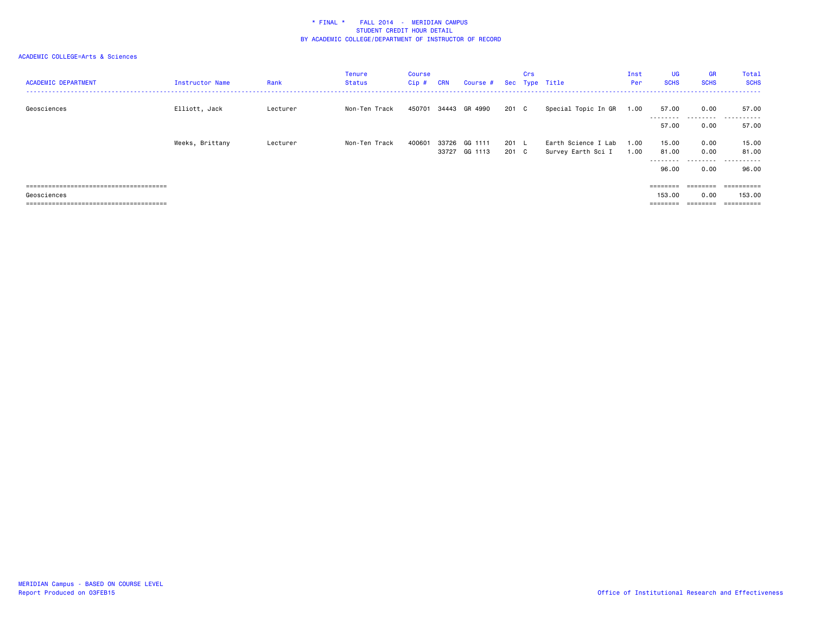| <b>ACADEMIC DEPARTMENT</b>             | Instructor Name | Rank     | <b>Tenure</b><br><b>Status</b> | Course<br>$Cip$ # | <b>CRN</b> | Course # Sec Type Title |       | Crs |                     | Inst<br>Per | <b>UG</b><br><b>SCHS</b> | <b>GR</b><br><b>SCHS</b> | Total<br><b>SCHS</b><br>. |
|----------------------------------------|-----------------|----------|--------------------------------|-------------------|------------|-------------------------|-------|-----|---------------------|-------------|--------------------------|--------------------------|---------------------------|
| Geosciences                            | Elliott, Jack   | Lecturer | Non-Ten Track                  | 450701            |            | 34443 GR 4990           | 201 C |     | Special Topic In GR | 1.00        | 57.00<br>.               | 0.00                     | 57.00                     |
|                                        |                 |          |                                |                   |            |                         |       |     |                     |             | 57.00                    | 0.00                     | 57.00                     |
|                                        | Weeks, Brittany | Lecturer | Non-Ten Track                  | 400601            | 33726      | GG 1111                 | 201 L |     | Earth Science I Lab | 1.00        | 15.00                    | 0.00                     | 15.00                     |
|                                        |                 |          |                                |                   | 33727      | GG 1113                 | 201 C |     | Survey Earth Sci I  | 1.00        | 81.00                    | 0.00                     | 81.00                     |
|                                        |                 |          |                                |                   |            |                         |       |     |                     |             | ---------<br>96.00       | 0.00                     | .<br>96.00                |
|                                        |                 |          |                                |                   |            |                         |       |     |                     |             | ========                 | ========                 | -==========               |
| Geosciences                            |                 |          |                                |                   |            |                         |       |     |                     |             | 153,00                   | 0.00                     | 153.00                    |
| -------------------------------------- |                 |          |                                |                   |            |                         |       |     |                     |             |                          |                          | ==========                |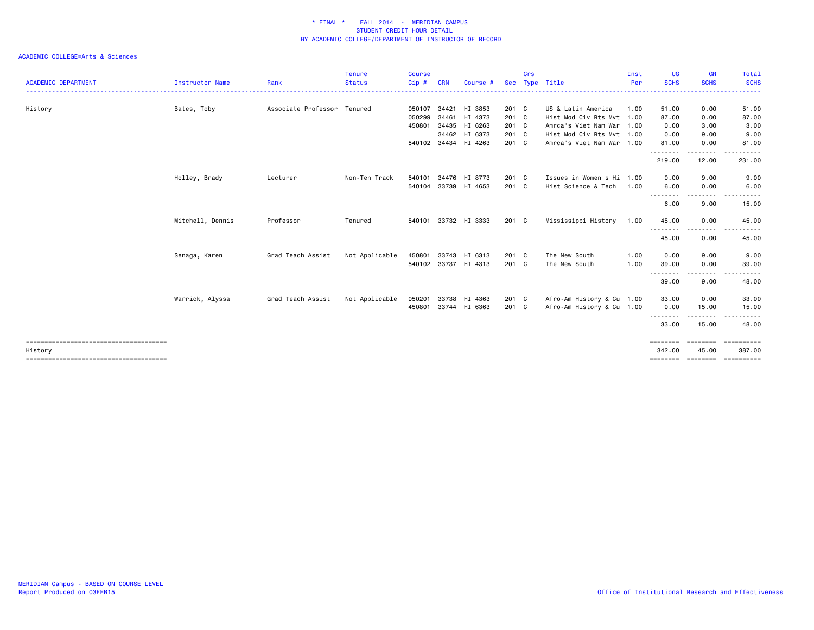|                            |                  |                             | <b>Tenure</b>  | Course |            |                      |            | Crs |                           | Inst | <b>UG</b>                | <b>GR</b>               | Total                |
|----------------------------|------------------|-----------------------------|----------------|--------|------------|----------------------|------------|-----|---------------------------|------|--------------------------|-------------------------|----------------------|
| <b>ACADEMIC DEPARTMENT</b> | Instructor Name  | Rank                        | <b>Status</b>  | Cip#   | <b>CRN</b> | Course #             | <b>Sec</b> |     | Type Title                | Per  | <b>SCHS</b>              | <b>SCHS</b>             | <b>SCHS</b>          |
| History                    | Bates, Toby      | Associate Professor Tenured |                | 050107 | 34421      | HI 3853              | 201 C      |     | US & Latin America        | 1.00 | 51.00                    | 0.00                    | 51.00                |
|                            |                  |                             |                | 050299 | 34461      | HI 4373              | 201 C      |     | Hist Mod Civ Rts Mvt 1.00 |      | 87.00                    | 0.00                    | 87.00                |
|                            |                  |                             |                | 450801 | 34435      | HI 6263              | 201 C      |     | Amrca's Viet Nam War 1.00 |      | 0.00                     | 3.00                    | 3.00                 |
|                            |                  |                             |                |        | 34462      | HI 6373              | 201 C      |     | Hist Mod Civ Rts Mvt 1.00 |      | 0.00                     | 9.00                    | 9.00                 |
|                            |                  |                             |                |        |            | 540102 34434 HI 4263 | 201 C      |     | Amrca's Viet Nam War 1.00 |      | 81.00<br>. <u>.</u>      | 0.00<br>.               | 81.00                |
|                            |                  |                             |                |        |            |                      |            |     |                           |      | 219.00                   | 12.00                   | 231.00               |
|                            | Holley, Brady    | Lecturer                    | Non-Ten Track  | 540101 | 34476      | HI 8773              | 201 C      |     | Issues in Women's Hi 1.00 |      | 0.00                     | 9.00                    | 9.00                 |
|                            |                  |                             |                |        |            | 540104 33739 HI 4653 | 201 C      |     | Hist Science & Tech       | 1.00 | 6.00<br>--------         | 0.00<br>$\frac{1}{2}$   | 6.00                 |
|                            |                  |                             |                |        |            |                      |            |     |                           |      | 6.00                     | 9.00                    | 15.00                |
|                            | Mitchell, Dennis | Professor                   | Tenured        |        |            | 540101 33732 HI 3333 | 201 C      |     | Mississippi History       | 1.00 | 45.00<br><u>.</u>        | 0.00<br>----            | 45.00                |
|                            |                  |                             |                |        |            |                      |            |     |                           |      | 45.00                    | 0.00                    | 45.00                |
|                            | Senaga, Karen    | Grad Teach Assist           | Not Applicable | 450801 | 33743      | HI 6313              | 201 C      |     | The New South             | 1.00 | 0.00                     | 9.00                    | 9.00                 |
|                            |                  |                             |                |        |            | 540102 33737 HI 4313 | 201 C      |     | The New South             | 1.00 | 39.00                    | 0.00                    | 39.00                |
|                            |                  |                             |                |        |            |                      |            |     |                           |      | . <b>.</b><br>39.00      | 9.00                    | 48.00                |
|                            | Warrick, Alyssa  | Grad Teach Assist           | Not Applicable | 050201 | 33738      | HI 4363              | 201 C      |     | Afro-Am History & Cu 1.00 |      | 33.00                    | 0.00                    | 33.00                |
|                            |                  |                             |                | 450801 |            | 33744 HI 6363        | 201 C      |     | Afro-Am History & Cu 1.00 |      | 0.00                     | 15.00<br>.              | 15.00                |
|                            |                  |                             |                |        |            |                      |            |     |                           |      | --------<br>33.00        | 15.00                   | 48.00                |
| History                    |                  |                             |                |        |            |                      |            |     |                           |      | <b>EEEEEEE</b><br>342.00 | <b>EEEEEEE</b><br>45.00 | ==========<br>387.00 |
|                            |                  |                             |                |        |            |                      |            |     |                           |      |                          |                         | ==========           |
|                            |                  |                             |                |        |            |                      |            |     |                           |      |                          |                         |                      |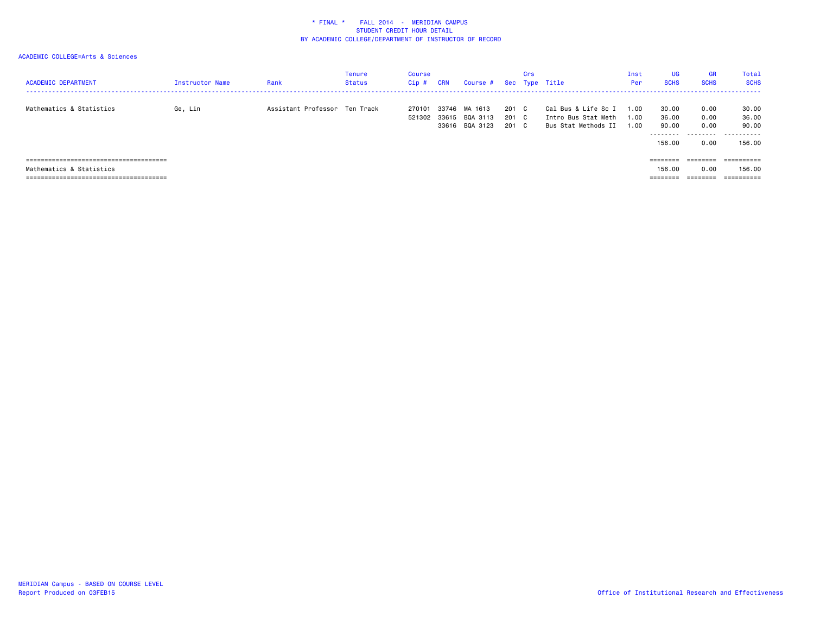| <b>ACADEMIC DEPARTMENT</b> | <b>Instructor Name</b> | Rank                          | <b>Tenure</b><br><b>Status</b> | Course<br>Cip# | <b>CRN</b> | Course # Sec Type Title |       | Crs |                     | Inst<br>Per | <b>UG</b><br><b>SCHS</b> | <b>GR</b><br><b>SCHS</b> | <b>Total</b><br><b>SCHS</b> |
|----------------------------|------------------------|-------------------------------|--------------------------------|----------------|------------|-------------------------|-------|-----|---------------------|-------------|--------------------------|--------------------------|-----------------------------|
| Mathematics & Statistics   | Ge, Lin                | Assistant Professor Ten Track |                                | 270101         | 33746      | MA 1613                 | 201 C |     | Cal Bus & Life Sc I | 1.00        | 30.00                    | 0.00                     | 30.00                       |
|                            |                        |                               |                                | 521302 33615   |            | BQA 3113                | 201 C |     | Intro Bus Stat Meth | 1.00        | 36.00                    | 0.00                     | 36.00                       |
|                            |                        |                               |                                |                |            | 33616 BQA 3123          | 201 C |     | Bus Stat Methods II | 1.00        | 90.00                    | 0.00                     | 90.00                       |
|                            |                        |                               |                                |                |            |                         |       |     |                     |             | 156.00                   | 0.00                     | .<br>156.00                 |
|                            |                        |                               |                                |                |            |                         |       |     |                     |             |                          | ========                 | ==========                  |
| Mathematics & Statistics   |                        |                               |                                |                |            |                         |       |     |                     |             | 156.00                   | 0.00                     | 156.00                      |
|                            |                        |                               |                                |                |            |                         |       |     |                     |             | ========                 | ========                 | ==========                  |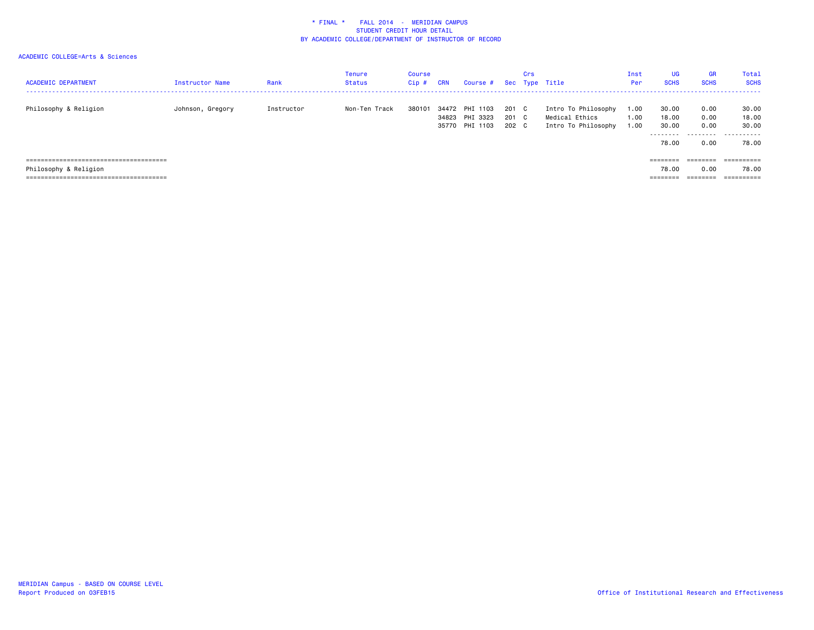| <b>ACADEMIC DEPARTMENT</b> | <b>Instructor Name</b> | Rank       | <b>Tenure</b><br><b>Status</b> | Course<br>Cip# | <b>CRN</b> | Course # Sec Type Title    |                | Crs |                                       | Inst<br>Per  | <b>UG</b><br><b>SCHS</b> | <b>GR</b><br><b>SCHS</b> | <b>Total</b><br><b>SCHS</b> |
|----------------------------|------------------------|------------|--------------------------------|----------------|------------|----------------------------|----------------|-----|---------------------------------------|--------------|--------------------------|--------------------------|-----------------------------|
| Philosophy & Religion      | Johnson, Gregory       | Instructor | Non-Ten Track                  | 380101         | 34823      | 34472 PHI 1103<br>PHI 3323 | 201 C<br>201 C |     | Intro To Philosophy<br>Medical Ethics | 1.00<br>1.00 | 30.00<br>18,00           | 0.00<br>0.00             | 30.00<br>18.00              |
|                            |                        |            |                                |                |            | 35770 PHI 1103             | 202 C          |     | Intro To Philosophy                   | 1.00         | 30.00                    | 0.00                     | 30.00                       |
|                            |                        |            |                                |                |            |                            |                |     |                                       |              | 78.00                    | 0.00                     | .<br>78.00                  |
|                            |                        |            |                                |                |            |                            |                |     |                                       |              | ========                 | ========                 | ==========                  |
| Philosophy & Religion      |                        |            |                                |                |            |                            |                |     |                                       |              | 78.00                    | 0.00                     | 78.00                       |
|                            |                        |            |                                |                |            |                            |                |     |                                       |              | ========                 | ========                 | ==========                  |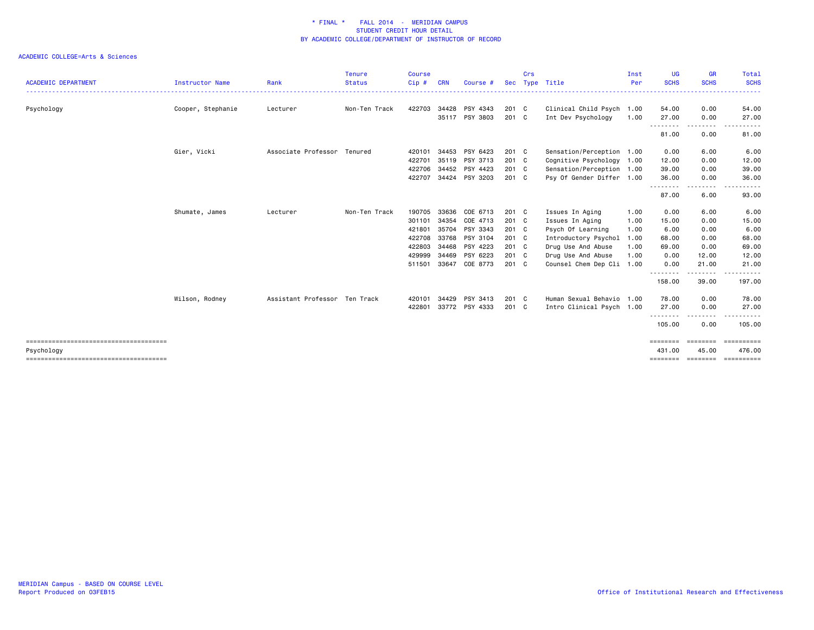|                            |                   |                               | <b>Tenure</b> | <b>Course</b> |            |                |               | Crs |                           | Inst | <b>UG</b>                | <b>GR</b>               | Total                |
|----------------------------|-------------------|-------------------------------|---------------|---------------|------------|----------------|---------------|-----|---------------------------|------|--------------------------|-------------------------|----------------------|
| <b>ACADEMIC DEPARTMENT</b> | Instructor Name   | Rank                          | <b>Status</b> | Cip#          | <b>CRN</b> | Course #       |               |     | Sec Type Title            | Per  | <b>SCHS</b>              | <b>SCHS</b>             | <b>SCHS</b>          |
| Psychology                 | Cooper, Stephanie | Lecturer                      | Non-Ten Track | 422703 34428  |            | PSY 4343       | 201 C         |     | Clinical Child Psych 1.00 |      | 54.00                    | 0.00                    | 54.00                |
|                            |                   |                               |               |               | 35117      | PSY 3803       | 201 C         |     | Int Dev Psychology        | 1.00 | 27.00                    | 0.00                    | 27.00                |
|                            |                   |                               |               |               |            |                |               |     |                           |      | .<br>81.00               | <u>--------</u><br>0.00 | 81.00                |
|                            | Gier, Vicki       | Associate Professor Tenured   |               | 420101        | 34453      | PSY 6423       | 201 C         |     | Sensation/Perception 1.00 |      | 0.00                     | 6.00                    | 6.00                 |
|                            |                   |                               |               | 422701        | 35119      | PSY 3713       | $201 \quad C$ |     | Cognitive Psychology 1.00 |      | 12.00                    | 0.00                    | 12.00                |
|                            |                   |                               |               | 422706        | 34452      | PSY 4423       | 201 C         |     | Sensation/Perception 1.00 |      | 39.00                    | 0.00                    | 39.00                |
|                            |                   |                               |               | 422707        |            | 34424 PSY 3203 | 201 C         |     | Psy Of Gender Differ 1.00 |      | 36.00                    | 0.00                    | 36.00                |
|                            |                   |                               |               |               |            |                |               |     |                           |      | <u>.</u><br>87.00        | 6.00                    | 93.00                |
|                            | Shumate, James    | Lecturer                      | Non-Ten Track | 190705        | 33636      | COE 6713       | 201 C         |     | Issues In Aging           | 1.00 | 0.00                     | 6.00                    | 6.00                 |
|                            |                   |                               |               | 301101        | 34354      | COE 4713       | 201 C         |     | Issues In Aging           | 1.00 | 15.00                    | 0.00                    | 15.00                |
|                            |                   |                               |               | 421801        | 35704      | PSY 3343       | 201 C         |     | Psych Of Learning         | 1.00 | 6.00                     | 0.00                    | 6.00                 |
|                            |                   |                               |               | 422708        | 33768      | PSY 3104       | 201 C         |     | Introductory Psychol      | 1.00 | 68.00                    | 0.00                    | 68.00                |
|                            |                   |                               |               | 422803        | 34468      | PSY 4223       | 201 C         |     | Drug Use And Abuse        | 1.00 | 69.00                    | 0.00                    | 69.00                |
|                            |                   |                               |               | 429999        | 34469      | PSY 6223       | 201 C         |     | Drug Use And Abuse        | 1.00 | 0.00                     | 12.00                   | 12.00                |
|                            |                   |                               |               | 511501        | 33647      | COE 8773       | 201 C         |     | Counsel Chem Dep Cli 1.00 |      | 0.00                     | 21.00                   | 21.00                |
|                            |                   |                               |               |               |            |                |               |     |                           |      | .<br>158.00              | -----<br>39.00          | 197.00               |
|                            | Wilson, Rodney    | Assistant Professor Ten Track |               | 420101        | 34429      | PSY 3413       | 201 C         |     | Human Sexual Behavio 1.00 |      | 78.00                    | 0.00                    | 78.00                |
|                            |                   |                               |               | 422801        |            | 33772 PSY 4333 | $201 \quad C$ |     | Intro Clinical Psych 1.00 |      | 27.00                    | 0.00                    | 27.00                |
|                            |                   |                               |               |               |            |                |               |     |                           |      | .<br>105.00              | 0.00                    | 105.00               |
|                            |                   |                               |               |               |            |                |               |     |                           |      | $=$ = = = = = = =        | $=$ = = = = = = =       | EEEEEEEEE            |
| Psychology                 |                   |                               |               |               |            |                |               |     |                           |      | 431,00<br><b>EEEEEEE</b> | 45.00<br>---------      | 476.00<br>========== |
|                            |                   |                               |               |               |            |                |               |     |                           |      |                          |                         |                      |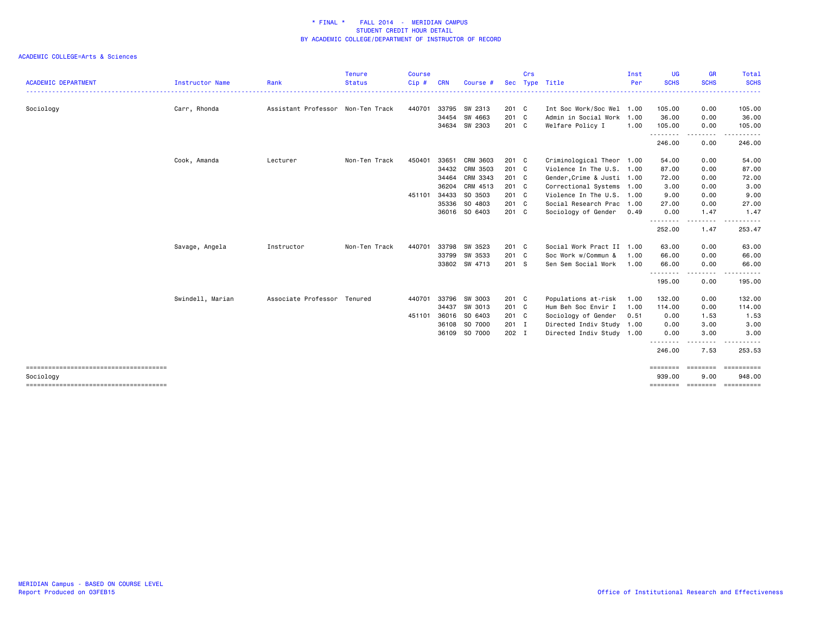| <b>ACADEMIC DEPARTMENT</b> | <b>Instructor Name</b> | Rank                              | <b>Tenure</b><br><b>Status</b> | Course<br>Cip# | <b>CRN</b> | Course #      | <b>Sec</b> | Crs | Type Title                 | Inst<br>Per | <b>UG</b><br><b>SCHS</b> | <b>GR</b><br><b>SCHS</b> | <b>Total</b><br><b>SCHS</b> |
|----------------------------|------------------------|-----------------------------------|--------------------------------|----------------|------------|---------------|------------|-----|----------------------------|-------------|--------------------------|--------------------------|-----------------------------|
|                            |                        |                                   |                                |                |            |               |            |     |                            |             |                          |                          |                             |
| Sociology                  | Carr, Rhonda           | Assistant Professor Non-Ten Track |                                | 440701         | 33795      | SW 2313       | 201 C      |     | Int Soc Work/Soc Wel 1.00  |             | 105.00                   | 0.00                     | 105.00                      |
|                            |                        |                                   |                                |                | 34454      | SW 4663       | 201 C      |     | Admin in Social Work 1.00  |             | 36.00                    | 0.00                     | 36.00                       |
|                            |                        |                                   |                                |                |            | 34634 SW 2303 | 201 C      |     | Welfare Policy I           | 1.00        | 105.00<br>. <b>.</b> .   | 0.00<br>.                | 105.00                      |
|                            |                        |                                   |                                |                |            |               |            |     |                            |             | 246.00                   | 0.00                     | 246.00                      |
|                            | Cook, Amanda           | Lecturer                          | Non-Ten Track                  | 450401         | 33651      | CRM 3603      | $201$ C    |     | Criminological Theor 1.00  |             | 54.00                    | 0.00                     | 54.00                       |
|                            |                        |                                   |                                |                | 34432      | CRM 3503      | 201 C      |     | Violence In The U.S. 1.00  |             | 87.00                    | 0.00                     | 87.00                       |
|                            |                        |                                   |                                |                | 34464      | CRM 3343      | 201 C      |     | Gender, Crime & Justi 1.00 |             | 72.00                    | 0.00                     | 72.00                       |
|                            |                        |                                   |                                |                | 36204      | CRM 4513      | 201 C      |     | Correctional Systems 1.00  |             | 3.00                     | 0.00                     | 3.00                        |
|                            |                        |                                   |                                | 451101         | 34433      | SO 3503       | $201$ C    |     | Violence In The U.S. 1.00  |             | 9.00                     | 0.00                     | 9.00                        |
|                            |                        |                                   |                                |                | 35336      | SO 4803       | 201 C      |     | Social Research Prac 1.00  |             | 27.00                    | 0.00                     | 27.00                       |
|                            |                        |                                   |                                |                |            | 36016 SO 6403 | 201 C      |     | Sociology of Gender        | 0.49        | 0.00                     | 1.47                     | 1.47                        |
|                            |                        |                                   |                                |                |            |               |            |     |                            |             | .<br>252.00              | 1.47                     | 253.47                      |
|                            | Savage, Angela         | Instructor                        | Non-Ten Track                  | 440701         | 33798      | SW 3523       | 201 C      |     | Social Work Pract II 1.00  |             | 63,00                    | 0.00                     | 63.00                       |
|                            |                        |                                   |                                |                | 33799      | SW 3533       | 201 C      |     | Soc Work w/Commun &        | 1.00        | 66.00                    | 0.00                     | 66.00                       |
|                            |                        |                                   |                                |                |            | 33802 SW 4713 | 201 S      |     | Sen Sem Social Work        | 1.00        | 66.00                    | 0.00                     | 66.00                       |
|                            |                        |                                   |                                |                |            |               |            |     |                            |             | .<br>195.00              | 0.00                     | 195.00                      |
|                            | Swindell, Marian       | Associate Professor Tenured       |                                | 440701         | 33796      | SW 3003       | 201 C      |     | Populations at-risk        | 1.00        | 132.00                   | 0.00                     | 132.00                      |
|                            |                        |                                   |                                |                | 34437      | SW 3013       | $201$ C    |     | Hum Beh Soc Envir I        | 1.00        | 114.00                   | 0.00                     | 114.00                      |
|                            |                        |                                   |                                | 451101 36016   |            | SO 6403       | 201 C      |     | Sociology of Gender        | 0.51        | 0.00                     | 1.53                     | 1.53                        |
|                            |                        |                                   |                                |                | 36108      | SO 7000       | 201 I      |     | Directed Indiv Study 1.00  |             | 0.00                     | 3.00                     | 3.00                        |
|                            |                        |                                   |                                |                |            | 36109 SO 7000 | 202 I      |     | Directed Indiv Study 1.00  |             | 0.00                     | 3.00                     | 3.00                        |
|                            |                        |                                   |                                |                |            |               |            |     |                            |             | .<br>246.00              | .<br>7.53                | 253.53                      |
|                            |                        |                                   |                                |                |            |               |            |     |                            |             | ========                 | ========                 | ==========                  |
| Sociology                  |                        |                                   |                                |                |            |               |            |     |                            |             | 939.00<br>========       | 9.00<br>========         | 948.00<br>==========        |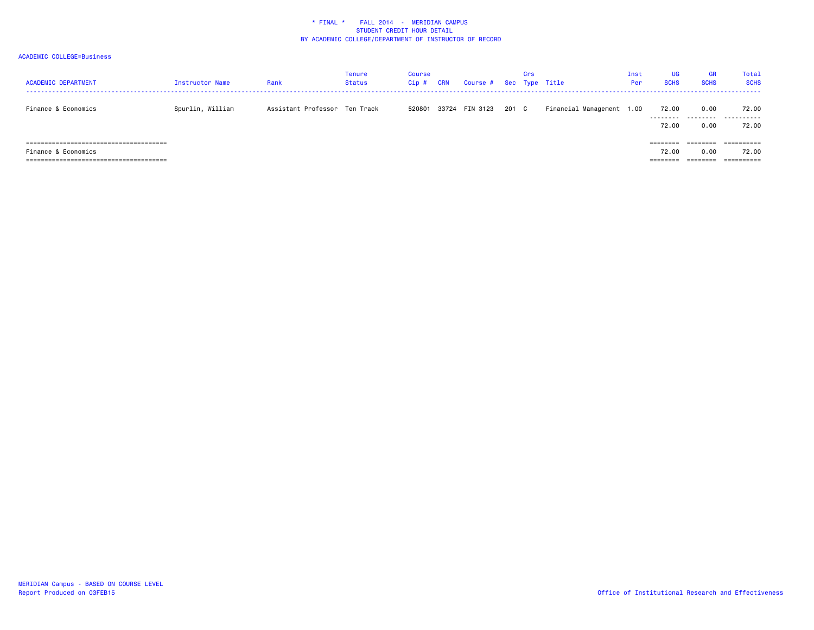| <b>ACADEMIC DEPARTMENT</b>       | Instructor Name  | Rank                          | <b>Tenure</b><br><b>Status</b> | Course<br>Cip# | CRN   | Course # Sec Type Title |       | Crs |                           | Inst<br>Per | UG<br><b>SCHS</b>  | <b>GR</b><br><b>SCHS</b> | Total<br><b>SCHS</b>  |
|----------------------------------|------------------|-------------------------------|--------------------------------|----------------|-------|-------------------------|-------|-----|---------------------------|-------------|--------------------|--------------------------|-----------------------|
| Finance & Economics              | Spurlin, William | Assistant Professor Ten Track |                                | 520801         | 33724 | FIN 3123                | 201 C |     | Financial Management 1.00 |             | 72.00<br>--------- | 0.00<br>.                | 72.00<br>.            |
|                                  |                  |                               |                                |                |       |                         |       |     |                           |             | 72.00              | 0.00                     | 72.00                 |
|                                  |                  |                               |                                |                |       |                         |       |     |                           |             |                    | ========                 |                       |
| Finance & Economics              |                  |                               |                                |                |       |                         |       |     |                           |             | 72.00              | 0.00                     | 72.00                 |
| ================================ |                  |                               |                                |                |       |                         |       |     |                           |             |                    |                          | $=$ = = = = = = = = = |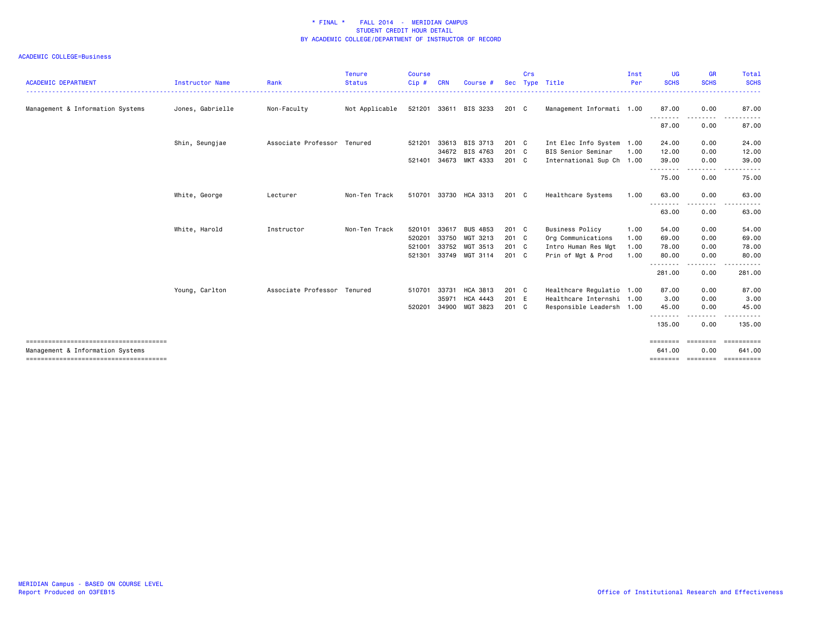| <b>ACADEMIC DEPARTMENT</b>                                               | <b>Instructor Name</b> | Rank                        | <b>Tenure</b><br><b>Status</b> | <b>Course</b><br>Cip# | <b>CRN</b> | Course #              | <b>Sec</b> | Crs | Type Title                | Inst<br>Per | <b>UG</b><br><b>SCHS</b> | <b>GR</b><br><b>SCHS</b> | <b>Total</b><br><b>SCHS</b> |
|--------------------------------------------------------------------------|------------------------|-----------------------------|--------------------------------|-----------------------|------------|-----------------------|------------|-----|---------------------------|-------------|--------------------------|--------------------------|-----------------------------|
|                                                                          |                        |                             |                                |                       |            |                       |            |     |                           |             |                          |                          | . <b>.</b>                  |
| Management & Information Systems                                         | Jones, Gabrielle       | Non-Faculty                 | Not Applicable                 |                       |            | 521201 33611 BIS 3233 | 201 C      |     | Management Informati 1.00 |             | 87.00<br>.               | 0.00                     | 87.00                       |
|                                                                          |                        |                             |                                |                       |            |                       |            |     |                           |             | 87.00                    | 0.00                     | 87.00                       |
|                                                                          | Shin, Seungjae         | Associate Professor Tenured |                                | 521201                |            | 33613 BIS 3713        | 201 C      |     | Int Elec Info System 1.00 |             | 24.00                    | 0.00                     | 24.00                       |
|                                                                          |                        |                             |                                |                       | 34672      | BIS 4763              | 201 C      |     | BIS Senior Seminar        | 1.00        | 12.00                    | 0.00                     | 12.00                       |
|                                                                          |                        |                             |                                | 521401                | 34673      | MKT 4333              | 201 C      |     | International Sup Ch 1.00 |             | 39.00<br>--------        | 0.00<br>.                | 39.00                       |
|                                                                          |                        |                             |                                |                       |            |                       |            |     |                           |             | 75.00                    | 0.00                     | 75.00                       |
|                                                                          | White, George          | Lecturer                    | Non-Ten Track                  |                       |            | 510701 33730 HCA 3313 | 201 C      |     | Healthcare Systems        | 1.00        | 63,00                    | 0.00                     | 63.00                       |
|                                                                          |                        |                             |                                |                       |            |                       |            |     |                           |             | .<br>63.00               | 0.00                     | 63.00                       |
|                                                                          | White, Harold          | Instructor                  | Non-Ten Track                  | 520101                | 33617      | <b>BUS 4853</b>       | 201 C      |     | <b>Business Policy</b>    | 1.00        | 54.00                    | 0.00                     | 54.00                       |
|                                                                          |                        |                             |                                | 520201                | 33750      | MGT 3213              | 201 C      |     | Org Communications        | 1.00        | 69.00                    | 0.00                     | 69.00                       |
|                                                                          |                        |                             |                                | 521001                | 33752      | MGT 3513              | $201$ C    |     | Intro Human Res Mgt       | 1.00        | 78.00                    | 0.00                     | 78.00                       |
|                                                                          |                        |                             |                                | 521301                |            | 33749 MGT 3114        | 201 C      |     | Prin of Mgt & Prod        | 1.00        | 80.00<br>. <u>.</u>      | 0.00<br>.                | 80.00<br>.                  |
|                                                                          |                        |                             |                                |                       |            |                       |            |     |                           |             | 281.00                   | 0.00                     | 281.00                      |
|                                                                          | Young, Carlton         | Associate Professor Tenured |                                | 510701                | 33731      | HCA 3813              | 201 C      |     | Healthcare Regulatio 1.00 |             | 87.00                    | 0.00                     | 87.00                       |
|                                                                          |                        |                             |                                |                       | 35971      | <b>HCA 4443</b>       | 201 E      |     | Healthcare Internshi 1.00 |             | 3.00                     | 0.00                     | 3.00                        |
|                                                                          |                        |                             |                                | 520201                | 34900      | MGT 3823              | 201 C      |     | Responsible Leadersh 1.00 |             | 45.00<br>. <u>.</u>      | 0.00                     | 45.00                       |
|                                                                          |                        |                             |                                |                       |            |                       |            |     |                           |             | 135.00                   | 0.00                     | 135.00                      |
| ------------------------------------<br>Management & Information Systems |                        |                             |                                |                       |            |                       |            |     |                           |             | ========<br>641,00       | ========<br>0.00         | ==========<br>641.00        |
|                                                                          |                        |                             |                                |                       |            |                       |            |     |                           |             | ========                 | ========                 | <b>ESSESSESS</b>            |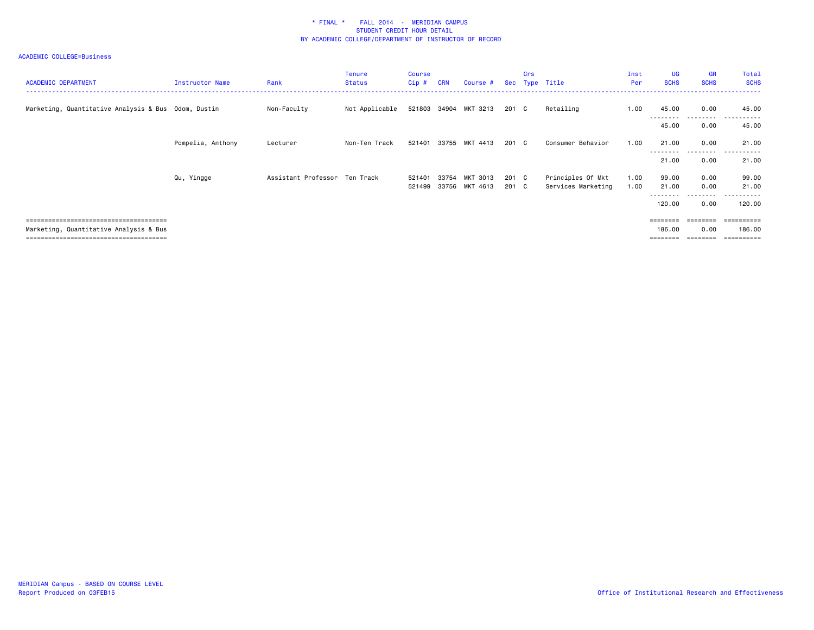| <b>ACADEMIC DEPARTMENT</b>                          | Instructor Name   | Rank                          | <b>Tenure</b><br><b>Status</b> | Course<br>$Cip$ # | <b>CRN</b> | Course #                   |                | <b>Crs</b> | Sec Type Title                          | Inst<br>Per  | <b>UG</b><br><b>SCHS</b> | <b>GR</b><br><b>SCHS</b> | Total<br><b>SCHS</b>    |
|-----------------------------------------------------|-------------------|-------------------------------|--------------------------------|-------------------|------------|----------------------------|----------------|------------|-----------------------------------------|--------------|--------------------------|--------------------------|-------------------------|
| Marketing, Quantitative Analysis & Bus Odom, Dustin |                   | Non-Faculty                   | Not Applicable                 |                   |            | 521803 34904 MKT 3213      | 201 C          |            | Retailing                               | 1.00         | 45.00<br>---------       | 0.00<br>.                | 45.00<br>.              |
|                                                     |                   |                               |                                |                   |            |                            |                |            |                                         |              | 45.00                    | 0.00                     | 45.00                   |
|                                                     | Pompelia, Anthony | Lecturer                      | Non-Ten Track                  |                   |            | 521401 33755 MKT 4413      | 201 C          |            | Consumer Behavior                       | 1.00         | 21.00                    | 0.00                     | 21.00                   |
|                                                     |                   |                               |                                |                   |            |                            |                |            |                                         |              | ---------<br>21.00       | . <sub>.</sub><br>0.00   | ------<br>$ -$<br>21.00 |
|                                                     | Qu, Yingge        | Assistant Professor Ten Track |                                | 521401<br>521499  | 33754      | MKT 3013<br>33756 MKT 4613 | 201 C<br>201 C |            | Principles Of Mkt<br>Services Marketing | 1.00<br>1.00 | 99.00<br>21.00           | 0.00<br>0.00             | 99.00<br>21.00          |
|                                                     |                   |                               |                                |                   |            |                            |                |            |                                         |              | ---------                | .                        | .                       |
|                                                     |                   |                               |                                |                   |            |                            |                |            |                                         |              | 120.00                   | 0.00                     | 120.00                  |
|                                                     |                   |                               |                                |                   |            |                            |                |            |                                         |              |                          |                          |                         |
| Marketing, Quantitative Analysis & Bus              |                   |                               |                                |                   |            |                            |                |            |                                         |              | 186.00                   | 0.00                     | 186.00                  |
|                                                     |                   |                               |                                |                   |            |                            |                |            |                                         |              |                          |                          | ==========              |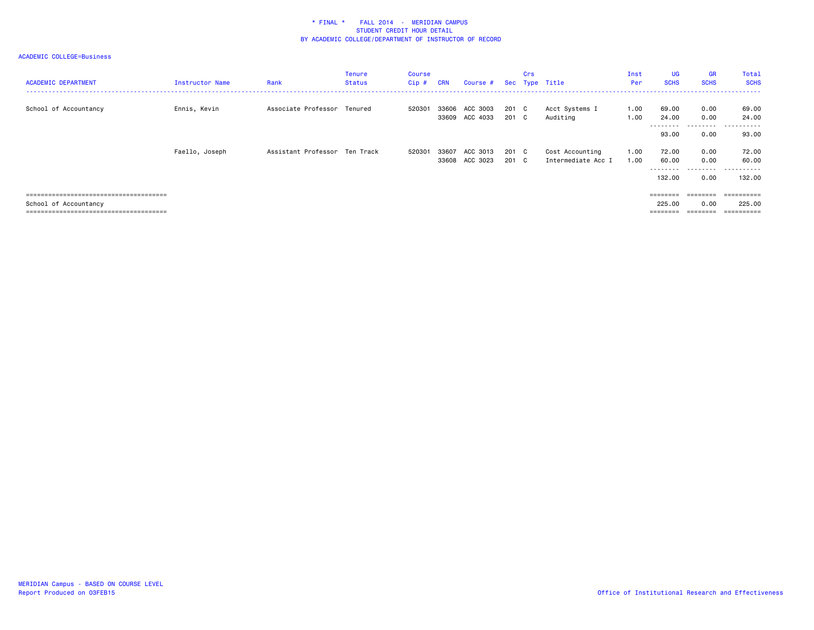| <b>ACADEMIC DEPARTMENT</b> | Instructor Name | Rank                          | <b>Tenure</b><br><b>Status</b> | Course<br>$Cip$ # | <b>CRN</b> | Course #                   |                | Crs | Sec Type Title                        | Inst<br>Per  | <b>UG</b><br><b>SCHS</b>    | <b>GR</b><br><b>SCHS</b> | Total<br><b>SCHS</b> |
|----------------------------|-----------------|-------------------------------|--------------------------------|-------------------|------------|----------------------------|----------------|-----|---------------------------------------|--------------|-----------------------------|--------------------------|----------------------|
| School of Accountancy      | Ennis, Kevin    | Associate Professor Tenured   |                                | 520301            | 33606      | ACC 3003<br>33609 ACC 4033 | 201 C<br>201 C |     | Acct Systems I<br>Auditing            | 1.00<br>1.00 | 69.00<br>24.00              | 0.00<br>0.00             | 69.00<br>24.00       |
|                            |                 |                               |                                |                   |            |                            |                |     |                                       |              | ---------<br>93.00          | .<br>0.00                | ------<br>.<br>93.00 |
|                            | Faello, Joseph  | Assistant Professor Ten Track |                                | 520301            | 33607      | ACC 3013<br>33608 ACC 3023 | 201 C<br>201 C |     | Cost Accounting<br>Intermediate Acc I | 1.00<br>1.00 | 72.00<br>60.00<br>--------- | 0.00<br>0.00<br>.        | 72.00<br>60.00<br>.  |
|                            |                 |                               |                                |                   |            |                            |                |     |                                       |              | 132.00                      | 0.00                     | 132,00               |
|                            |                 |                               |                                |                   |            |                            |                |     |                                       |              | ========                    |                          |                      |
| School of Accountancy      |                 |                               |                                |                   |            |                            |                |     |                                       |              | 225.00                      | 0.00                     | 225,00               |
|                            |                 |                               |                                |                   |            |                            |                |     |                                       |              | $=$ = = = = = = =           | ========                 |                      |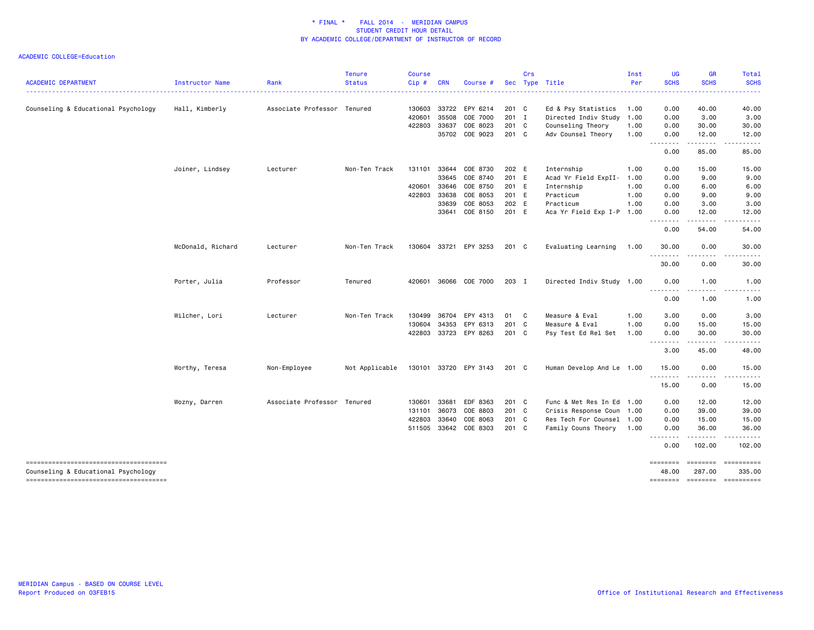|                                                                               |                   |                             | <b>Tenure</b>  | <b>Course</b> |              |                       |       | Crs |                           | Inst | <b>UG</b>           | <b>GR</b>                    | <b>Total</b>      |
|-------------------------------------------------------------------------------|-------------------|-----------------------------|----------------|---------------|--------------|-----------------------|-------|-----|---------------------------|------|---------------------|------------------------------|-------------------|
| <b>ACADEMIC DEPARTMENT</b>                                                    | Instructor Name   | Rank                        | <b>Status</b>  | $Cip \#$      | <b>CRN</b>   | Course #              | Sec   |     | Type Title                | Per  | <b>SCHS</b>         | <b>SCHS</b>                  | <b>SCHS</b>       |
| Counseling & Educational Psychology                                           | Hall, Kimberly    | Associate Professor Tenured |                |               | 130603 33722 | EPY 6214              | 201 C |     | Ed & Psy Statistics       | 1.00 | 0.00                | 40.00                        | 40.00             |
|                                                                               |                   |                             |                | 420601        | 35508        | COE 7000              | 201 I |     | Directed Indiv Study      | 1.00 | 0.00                | 3.00                         | 3.00              |
|                                                                               |                   |                             |                |               | 422803 33637 | COE 8023              | 201 C |     | Counseling Theory         | 1.00 | 0.00                | 30.00                        | 30.00             |
|                                                                               |                   |                             |                |               | 35702        | COE 9023              | 201 C |     | Adv Counsel Theory        | 1.00 | 0.00<br>$- - - - -$ | 12.00<br>.                   | 12.00             |
|                                                                               |                   |                             |                |               |              |                       |       |     |                           |      | 0.00                | 85.00                        | 85.00             |
|                                                                               | Joiner, Lindsey   | Lecturer                    | Non-Ten Track  | 131101        | 33644        | COE 8730              | 202 E |     | Internship                | 1.00 | 0.00                | 15.00                        | 15.00             |
|                                                                               |                   |                             |                |               | 33645        | COE 8740              | 201 E |     | Acad Yr Field ExpII- 1.00 |      | 0.00                | 9.00                         | 9.00              |
|                                                                               |                   |                             |                | 420601        | 33646        | COE 8750              | 201 E |     | Internship                | 1.00 | 0.00                | 6.00                         | 6.00              |
|                                                                               |                   |                             |                | 422803        | 33638        | COE 8053              | 201 E |     | Practicum                 | 1.00 | 0.00                | 9.00                         | 9.00              |
|                                                                               |                   |                             |                |               | 33639        | COE 8053              | 202 E |     | Practicum                 | 1.00 | 0.00                | 3.00                         | 3.00              |
|                                                                               |                   |                             |                |               | 33641        | COE 8150              | 201 E |     | Aca Yr Field Exp I-P 1.00 |      | 0.00                | 12.00<br>.                   | 12.00             |
|                                                                               |                   |                             |                |               |              |                       |       |     |                           |      | 0.00                | 54.00                        | 54.00             |
|                                                                               | McDonald, Richard | Lecturer                    | Non-Ten Track  |               |              | 130604 33721 EPY 3253 | 201 C |     | Evaluating Learning       | 1.00 | 30.00<br>.          | 0.00<br>.                    | 30.00<br>.        |
|                                                                               |                   |                             |                |               |              |                       |       |     |                           |      | 30.00               | 0.00                         | 30.00             |
|                                                                               | Porter, Julia     | Professor                   | Tenured        | 420601        |              | 36066 COE 7000        | 203 I |     | Directed Indiv Study 1.00 |      | 0.00                | 1.00                         | 1.00              |
|                                                                               |                   |                             |                |               |              |                       |       |     |                           |      | .<br>0.00           | .<br>1.00                    | 1.00              |
|                                                                               | Wilcher, Lori     | Lecturer                    | Non-Ten Track  | 130499        | 36704        | EPY 4313              | 01 C  |     | Measure & Eval            | 1.00 | 3.00                | 0.00                         | 3.00              |
|                                                                               |                   |                             |                | 130604        | 34353        | EPY 6313              | 201 C |     | Measure & Eval            | 1.00 | 0.00                | 15.00                        | 15.00             |
|                                                                               |                   |                             |                |               | 422803 33723 | EPY 8263              | 201 C |     | Psy Test Ed Rel Set       | 1.00 | 0.00<br><b></b>     | 30.00<br>$- - - - -$         | 30.00<br>.        |
|                                                                               |                   |                             |                |               |              |                       |       |     |                           |      | 3.00                | 45.00                        | 48.00             |
|                                                                               | Worthy, Teresa    | Non-Employee                | Not Applicable |               |              | 130101 33720 EPY 3143 | 201 C |     | Human Develop And Le 1.00 |      | 15.00               | 0.00                         | 15.00             |
|                                                                               |                   |                             |                |               |              |                       |       |     |                           |      | .<br>15.00          | .<br>0.00                    | .<br>15.00        |
|                                                                               | Wozny, Darren     | Associate Professor Tenured |                | 130601        | 33681        | EDF 8363              | 201 C |     | Func & Met Res In Ed 1.00 |      | 0.00                | 12.00                        | 12.00             |
|                                                                               |                   |                             |                | 131101        | 36073        | COE 8803              | 201 C |     | Crisis Response Coun 1.00 |      | 0.00                | 39.00                        | 39.00             |
|                                                                               |                   |                             |                | 422803        | 33640        | COE 8063              | 201 C |     | Res Tech For Counsel 1.00 |      | 0.00                | 15.00                        | 15.00             |
|                                                                               |                   |                             |                |               |              | 511505 33642 COE 8303 | 201 C |     | Family Couns Theory 1.00  |      | 0.00<br>--------    | 36.00<br>.                   | 36.00<br><u>.</u> |
|                                                                               |                   |                             |                |               |              |                       |       |     |                           |      | 0.00                | 102.00                       | 102.00            |
| --------------------------------------<br>Counseling & Educational Psychology |                   |                             |                |               |              |                       |       |     |                           |      | ========<br>48.00   | ======== =========<br>287.00 | 335.00            |
| -------------------------------------                                         |                   |                             |                |               |              |                       |       |     |                           |      | ========            | --------- ----------         |                   |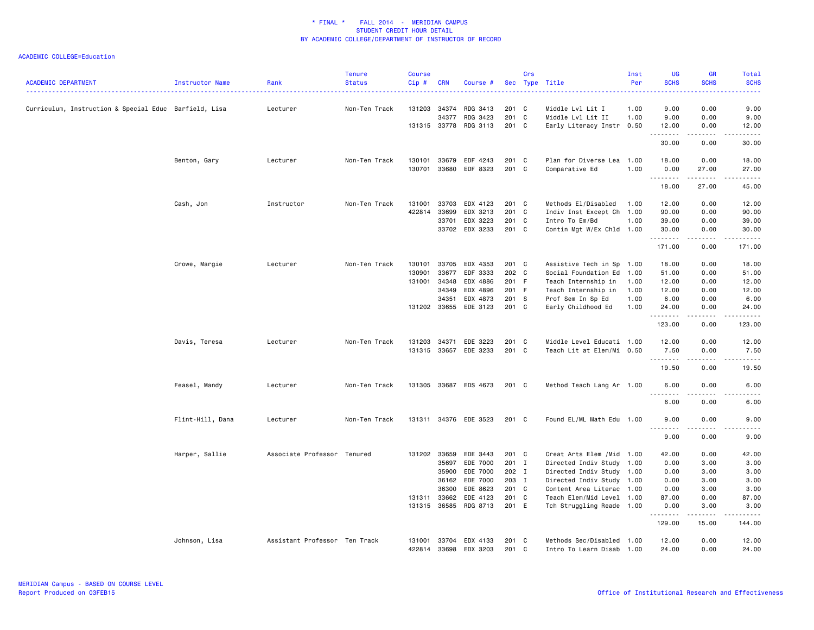| <b>ACADEMIC DEPARTMENT</b>                            | Instructor Name  | Rank                          | <b>Tenure</b><br><b>Status</b> | <b>Course</b><br>Cip# | <b>CRN</b> | Course #              |         | Crs | Sec Type Title             | Inst<br>Per | UG<br><b>SCHS</b>                   | <b>GR</b><br><b>SCHS</b>            | Total<br><b>SCHS</b>  |
|-------------------------------------------------------|------------------|-------------------------------|--------------------------------|-----------------------|------------|-----------------------|---------|-----|----------------------------|-------------|-------------------------------------|-------------------------------------|-----------------------|
|                                                       |                  |                               |                                |                       |            |                       |         |     |                            |             |                                     |                                     |                       |
| Curriculum, Instruction & Special Educ Barfield, Lisa |                  | Lecturer                      | Non-Ten Track                  | 131203 34374          |            | RDG 3413              | 201 C   |     | Middle Lvl Lit I           | 1.00        | 9.00                                | 0.00                                | 9.00                  |
|                                                       |                  |                               |                                |                       | 34377      | RDG 3423              | 201 C   |     | Middle Lvl Lit II          | 1.00        | 9.00                                | 0.00                                | 9.00                  |
|                                                       |                  |                               |                                |                       |            | 131315 33778 RDG 3113 | 201 C   |     | Early Literacy Instr 0.50  |             | 12.00<br>.                          | 0.00<br>.                           | 12.00<br>د د د د د    |
|                                                       |                  |                               |                                |                       |            |                       |         |     |                            |             | 30.00                               | 0.00                                | 30.00                 |
|                                                       | Benton, Gary     | Lecturer                      | Non-Ten Track                  | 130101                | 33679      | EDF 4243              | 201 C   |     | Plan for Diverse Lea 1.00  |             | 18.00                               | 0.00                                | 18.00                 |
|                                                       |                  |                               |                                | 130701                |            | 33680 EDF 8323        | 201 C   |     | Comparative Ed             | 1.00        | 0.00<br>.                           | 27.00<br>.                          | 27.00<br>د د د د د    |
|                                                       |                  |                               |                                |                       |            |                       |         |     |                            |             | 18.00                               | 27.00                               | 45.00                 |
|                                                       | Cash, Jon        | Instructor                    | Non-Ten Track                  | 131001                | 33703      | EDX 4123              | 201 C   |     | Methods El/Disabled        | 1.00        | 12.00                               | 0.00                                | 12.00                 |
|                                                       |                  |                               |                                | 422814                | 33699      | EDX 3213              | 201 C   |     | Indiv Inst Except Ch 1.00  |             | 90.00                               | 0.00                                | 90.00                 |
|                                                       |                  |                               |                                |                       | 33701      | EDX 3223              | 201 C   |     | Intro To Em/Bd             | 1.00        | 39.00                               | 0.00                                | 39.00                 |
|                                                       |                  |                               |                                |                       |            | 33702 EDX 3233        | 201 C   |     | Contin Mgt W/Ex Chld 1.00  |             | 30.00<br>.                          | 0.00<br>.                           | 30.00<br>.            |
|                                                       |                  |                               |                                |                       |            |                       |         |     |                            |             | 171.00                              | 0.00                                | 171.00                |
|                                                       | Crowe, Margie    | Lecturer                      | Non-Ten Track                  | 130101                | 33705      | EDX 4353              | 201 C   |     | Assistive Tech in Sp       | 1.00        | 18.00                               | 0.00                                | 18.00                 |
|                                                       |                  |                               |                                | 130901                | 33677      | EDF 3333              | 202 C   |     | Social Foundation Ed       | 1.00        | 51.00                               | 0.00                                | 51.00                 |
|                                                       |                  |                               |                                | 131001                | 34348      | EDX 4886              | 201 F   |     | Teach Internship in        | 1.00        | 12.00                               | 0.00                                | 12.00                 |
|                                                       |                  |                               |                                |                       | 34349      | EDX 4896              | 201 F   |     | Teach Internship in        | 1.00        | 12.00                               | 0.00                                | 12.00                 |
|                                                       |                  |                               |                                |                       | 34351      | EDX 4873              | 201 S   |     | Prof Sem In Sp Ed          | 1.00        | 6.00                                | 0.00                                | 6.00                  |
|                                                       |                  |                               |                                |                       |            | 131202 33655 EDE 3123 | $201$ C |     | Early Childhood Ed         | 1.00        | 24,00<br>.                          | 0.00<br>.                           | 24.00<br>.            |
|                                                       |                  |                               |                                |                       |            |                       |         |     |                            |             | 123.00                              | 0.00                                | 123.00                |
|                                                       | Davis, Teresa    | Lecturer                      | Non-Ten Track                  | 131203                | 34371      | EDE 3223              | 201 C   |     | Middle Level Educati 1.00  |             | 12.00                               | 0.00                                | 12.00                 |
|                                                       |                  |                               |                                | 131315 33657          |            | EDE 3233              | 201 C   |     | Teach Lit at Elem/Mi 0.50  |             | 7.50                                | 0.00                                | 7.50                  |
|                                                       |                  |                               |                                |                       |            |                       |         |     |                            |             | .                                   | $\omega$ $\omega$ $\omega$ $\omega$ | $\frac{1}{2}$         |
|                                                       |                  |                               |                                |                       |            |                       |         |     |                            |             | 19.50                               | 0.00                                | 19.50                 |
|                                                       | Feasel, Mandy    | Lecturer                      | Non-Ten Track                  |                       |            | 131305 33687 EDS 4673 | 201 C   |     | Method Teach Lang Ar 1.00  |             | 6.00<br>.<br>22                     | 0.00<br>.                           | 6.00<br>$\frac{1}{2}$ |
|                                                       |                  |                               |                                |                       |            |                       |         |     |                            |             | 6.00                                | 0.00                                | 6.00                  |
|                                                       | Flint-Hill, Dana | Lecturer                      | Non-Ten Track                  |                       |            | 131311 34376 EDE 3523 | 201 C   |     | Found EL/ML Math Edu 1.00  |             | 9.00                                | 0.00                                | 9.00                  |
|                                                       |                  |                               |                                |                       |            |                       |         |     |                            |             | $\sim$ $\sim$ $\sim$ $\sim$<br>9.00 | 0.00                                | 9.00                  |
|                                                       | Harper, Sallie   | Associate Professor Tenured   |                                | 131202 33659          |            | EDE 3443              | 201 C   |     | Creat Arts Elem / Mid 1.00 |             | 42.00                               | 0.00                                | 42.00                 |
|                                                       |                  |                               |                                |                       | 35697      | EDE 7000              | 201 I   |     | Directed Indiv Study 1.00  |             | 0.00                                | 3.00                                | 3.00                  |
|                                                       |                  |                               |                                |                       | 35900      | EDE 7000              | 202 I   |     | Directed Indiv Study 1.00  |             | 0.00                                | 3.00                                | 3.00                  |
|                                                       |                  |                               |                                |                       | 36162      | EDE 7000              | 203 I   |     | Directed Indiv Study 1.00  |             | 0.00                                | 3.00                                | 3.00                  |
|                                                       |                  |                               |                                |                       | 36300      | EDE 8623              | 201 C   |     | Content Area Literac 1.00  |             | 0.00                                | 3.00                                | 3.00                  |
|                                                       |                  |                               |                                | 131311                | 33662      | EDE 4123              | 201 C   |     | Teach Elem/Mid Level 1.00  |             | 87.00                               | 0.00                                | 87.00                 |
|                                                       |                  |                               |                                | 131315 36585          |            | RDG 8713              | 201 E   |     | Tch Struggling Reade 1.00  |             | 0.00<br>.                           | 3,00<br>.                           | 3.00<br>ددددد.        |
|                                                       |                  |                               |                                |                       |            |                       |         |     |                            |             | 129.00                              | 15.00                               | 144.00                |
|                                                       | Johnson, Lisa    | Assistant Professor Ten Track |                                |                       |            | 131001 33704 EDX 4133 | 201 C   |     | Methods Sec/Disabled 1.00  |             | 12.00                               | 0.00                                | 12.00                 |
|                                                       |                  |                               |                                | 422814                | 33698      | EDX 3203              | 201 C   |     | Intro To Learn Disab 1.00  |             | 24.00                               | 0.00                                | 24.00                 |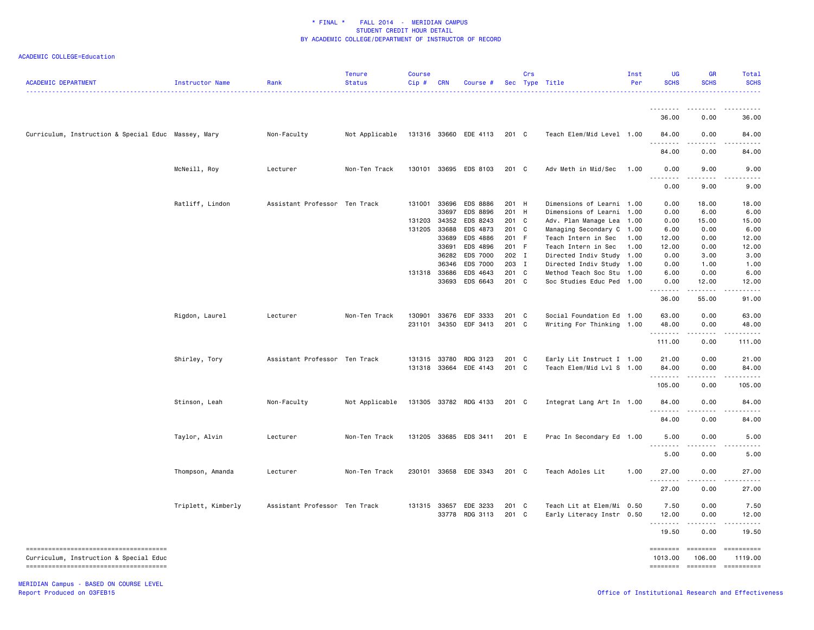# ACADEMIC COLLEGE=Education

| <b>ACADEMIC DEPARTMENT</b>                          | Instructor Name    | Rank                          | <b>Tenure</b><br><b>Status</b> | <b>Course</b><br>Cip# | <b>CRN</b>     | Course #              |                    | Crs | Sec Type Title            | Inst<br>Per | <b>UG</b><br><b>SCHS</b> | <b>GR</b><br><b>SCHS</b> | Total<br><b>SCHS</b> |
|-----------------------------------------------------|--------------------|-------------------------------|--------------------------------|-----------------------|----------------|-----------------------|--------------------|-----|---------------------------|-------------|--------------------------|--------------------------|----------------------|
|                                                     |                    |                               |                                |                       |                |                       |                    |     |                           |             | 36.00                    | 0.00                     | 36.00                |
| Curriculum, Instruction & Special Educ Massey, Mary |                    | Non-Faculty                   | Not Applicable                 |                       |                | 131316 33660 EDE 4113 | 201 C              |     | Teach Elem/Mid Level 1.00 |             | 84.00                    | 0.00                     | 84.00                |
|                                                     |                    |                               |                                |                       |                |                       |                    |     |                           |             | 84.00                    | 0.00                     | 84.00                |
|                                                     | McNeill, Roy       | Lecturer                      | Non-Ten Track                  | 130101                | 33695          | EDS 8103              | 201 C              |     | Adv Meth in Mid/Sec       | 1.00        | 0.00                     | 9.00                     | 9.00                 |
|                                                     |                    |                               |                                |                       |                |                       |                    |     |                           |             | 0.00                     | 9.00                     | 9.00                 |
|                                                     | Ratliff, Lindon    | Assistant Professor Ten Track |                                | 131001                | 33696<br>33697 | EDS 8886<br>EDS 8896  | 201 H<br>201 H     |     | Dimensions of Learni 1.00 | 1.00        | 0.00<br>0.00             | 18.00<br>6.00            | 18.00<br>6.00        |
|                                                     |                    |                               |                                |                       |                |                       |                    |     | Dimensions of Learni      |             |                          |                          |                      |
|                                                     |                    |                               |                                | 131203 34352          |                | EDS 8243              | $201$ C<br>$201$ C |     | Adv. Plan Manage Lea      | 1.00        | 0.00                     | 15.00<br>0.00            | 15.00<br>6.00        |
|                                                     |                    |                               |                                | 131205                | 33688          | EDS 4873              |                    |     | Managing Secondary C      | 1.00        | 6.00                     |                          |                      |
|                                                     |                    |                               |                                |                       | 33689          | EDS 4886              | 201 F              |     | Teach Intern in Sec       | 1.00        | 12.00                    | 0.00                     | 12.00                |
|                                                     |                    |                               |                                |                       | 33691          | EDS 4896              | 201 F              |     | Teach Intern in Sec       | 1.00        | 12.00                    | 0.00                     | 12.00                |
|                                                     |                    |                               |                                |                       | 36282          | EDS 7000              | 202 I              |     | Directed Indiv Study      | 1.00        | 0.00                     | 3.00                     | 3.00                 |
|                                                     |                    |                               |                                |                       | 36346          | EDS 7000              | 203 I              |     | Directed Indiv Study 1.00 |             | 0.00                     | 1.00                     | 1.00                 |
|                                                     |                    |                               |                                | 131318 33686          |                | EDS 4643              | 201 C              |     | Method Teach Soc Stu      | 1.00        | 6.00                     | 0.00                     | 6.00                 |
|                                                     |                    |                               |                                |                       | 33693          | EDS 6643              | 201 C              |     | Soc Studies Educ Ped 1.00 |             | 0.00                     | 12.00                    | 12.00                |
|                                                     |                    |                               |                                |                       |                |                       |                    |     |                           |             | .<br>36.00               | $    -$<br>55.00         | .<br>91.00           |
|                                                     | Rigdon, Laurel     | Lecturer                      | Non-Ten Track                  | 130901                | 33676          | EDF 3333              | 201 C              |     | Social Foundation Ed 1.00 |             | 63.00                    | 0.00                     | 63.00                |
|                                                     |                    |                               |                                | 231101                | 34350          | EDF 3413              | 201 C              |     | Writing For Thinking 1.00 |             | 48.00                    | 0.00                     | 48.00                |
|                                                     |                    |                               |                                |                       |                |                       |                    |     |                           |             | .                        |                          |                      |
|                                                     |                    |                               |                                |                       |                |                       |                    |     |                           |             | 111.00                   | 0.00                     | 111.00               |
|                                                     | Shirley, Tory      | Assistant Professor Ten Track |                                | 131315 33780          |                | RDG 3123              | $201$ C            |     | Early Lit Instruct I 1.00 |             | 21.00                    | 0.00                     | 21.00                |
|                                                     |                    |                               |                                | 131318 33664          |                | EDE 4143              | 201 C              |     | Teach Elem/Mid Lvl S 1.00 |             | 84.00                    | 0.00                     | 84.00                |
|                                                     |                    |                               |                                |                       |                |                       |                    |     |                           |             | .                        |                          | .                    |
|                                                     |                    |                               |                                |                       |                |                       |                    |     |                           |             | 105.00                   | 0.00                     | 105.00               |
|                                                     | Stinson, Leah      | Non-Faculty                   | Not Applicable                 |                       |                | 131305 33782 RDG 4133 | 201 C              |     | Integrat Lang Art In 1.00 |             | 84.00                    | 0.00                     | 84.00                |
|                                                     |                    |                               |                                |                       |                |                       |                    |     |                           |             | .                        | $\frac{1}{2}$            |                      |
|                                                     |                    |                               |                                |                       |                |                       |                    |     |                           |             | 84.00                    | 0.00                     | 84.00                |
|                                                     | Taylor, Alvin      | Lecturer                      | Non-Ten Track                  |                       |                | 131205 33685 EDS 3411 | 201 E              |     | Prac In Secondary Ed 1.00 |             | 5.00<br>.                | 0.00                     | 5.00                 |
|                                                     |                    |                               |                                |                       |                |                       |                    |     |                           |             | 5.00                     | 0.00                     | 5.00                 |
|                                                     | Thompson, Amanda   | Lecturer                      | Non-Ten Track                  |                       |                | 230101 33658 EDE 3343 | 201 C              |     | Teach Adoles Lit          | 1.00        | 27.00                    | 0.00                     | 27.00                |
|                                                     |                    |                               |                                |                       |                |                       |                    |     |                           |             | 27.00                    | 0.00                     | 27.00                |
|                                                     | Triplett, Kimberly | Assistant Professor Ten Track |                                | 131315 33657          |                | EDE 3233              | 201 C              |     | Teach Lit at Elem/Mi 0.50 |             | 7.50                     | 0.00                     | 7.50                 |
|                                                     |                    |                               |                                |                       | 33778          | RDG 3113              | 201 C              |     | Early Literacy Instr 0.50 |             | 12.00                    | 0.00                     | 12.00                |
|                                                     |                    |                               |                                |                       |                |                       |                    |     |                           |             | .                        | .                        | .                    |
|                                                     |                    |                               |                                |                       |                |                       |                    |     |                           |             | 19.50                    | 0.00                     | 19.50                |
|                                                     |                    |                               |                                |                       |                |                       |                    |     |                           |             | ========                 | $=$ =======              | ==========           |
| Curriculum, Instruction & Special Educ              |                    |                               |                                |                       |                |                       |                    |     |                           |             | 1013.00                  | 106.00                   | 1119.00              |
| -------------------------------------               |                    |                               |                                |                       |                |                       |                    |     |                           |             | $= 1000000000$           | ========                 | ==========           |
|                                                     |                    |                               |                                |                       |                |                       |                    |     |                           |             |                          |                          |                      |

MERIDIAN Campus - BASED ON COURSE LEVEL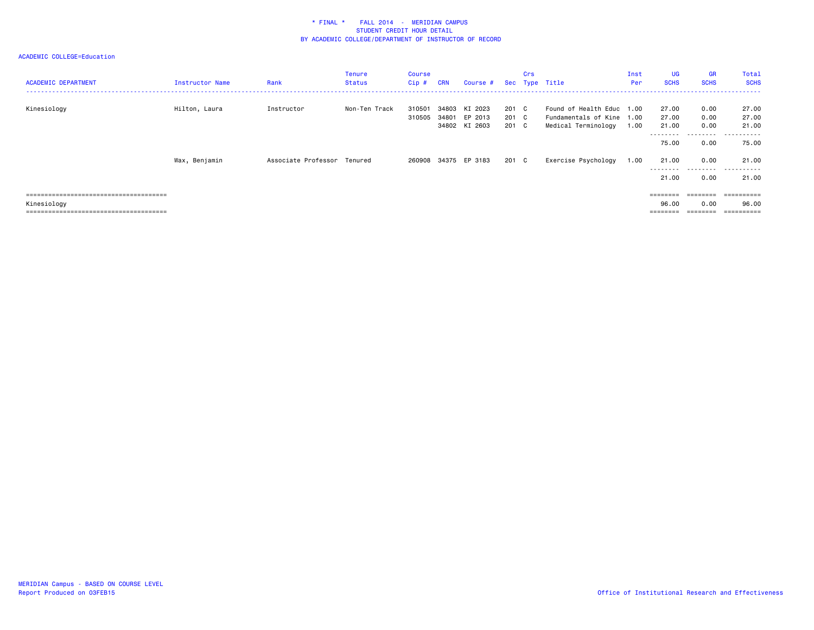| <b>ACADEMIC DEPARTMENT</b> | Instructor Name | Rank                | Tenure<br><b>Status</b> | <b>Course</b><br>$Cip$ # | <b>CRN</b> | Course #                                  |                         | Crs | Sec Type Title                                                                | Inst<br>Per | <b>UG</b><br><b>SCHS</b> | <b>GR</b><br><b>SCHS</b> | Total<br><b>SCHS</b>         |
|----------------------------|-----------------|---------------------|-------------------------|--------------------------|------------|-------------------------------------------|-------------------------|-----|-------------------------------------------------------------------------------|-------------|--------------------------|--------------------------|------------------------------|
| Kinesiology                | Hilton, Laura   | Instructor          | Non-Ten Track           | 310501<br>310505         | 34803      | KI 2023<br>34801 EP 2013<br>34802 KI 2603 | 201 C<br>201 C<br>201 C |     | Found of Health Educ 1.00<br>Fundamentals of Kine 1.00<br>Medical Terminology | 1.00        | 27.00<br>27.00<br>21.00  | 0.00<br>0.00<br>0.00     | 27.00<br>27.00<br>21.00      |
|                            |                 |                     |                         |                          |            |                                           |                         |     |                                                                               |             | 75.00                    | ---------<br>0.00        | .<br>75.00                   |
|                            | Wax, Benjamin   | Associate Professor | Tenured                 |                          |            | 260908 34375 EP 3183                      | 201 C                   |     | Exercise Psychology                                                           | 1.00        | 21.00                    | 0.00                     | 21.00                        |
|                            |                 |                     |                         |                          |            |                                           |                         |     |                                                                               |             | 21.00                    | ---------<br>0.00        | - - - - - -<br>$ -$<br>21.00 |
|                            |                 |                     |                         |                          |            |                                           |                         |     |                                                                               |             | ========                 | ========                 | ==========                   |
| Kinesiology                |                 |                     |                         |                          |            |                                           |                         |     |                                                                               |             | 96.00<br>========        | 0.00                     | 96.00<br>==========          |